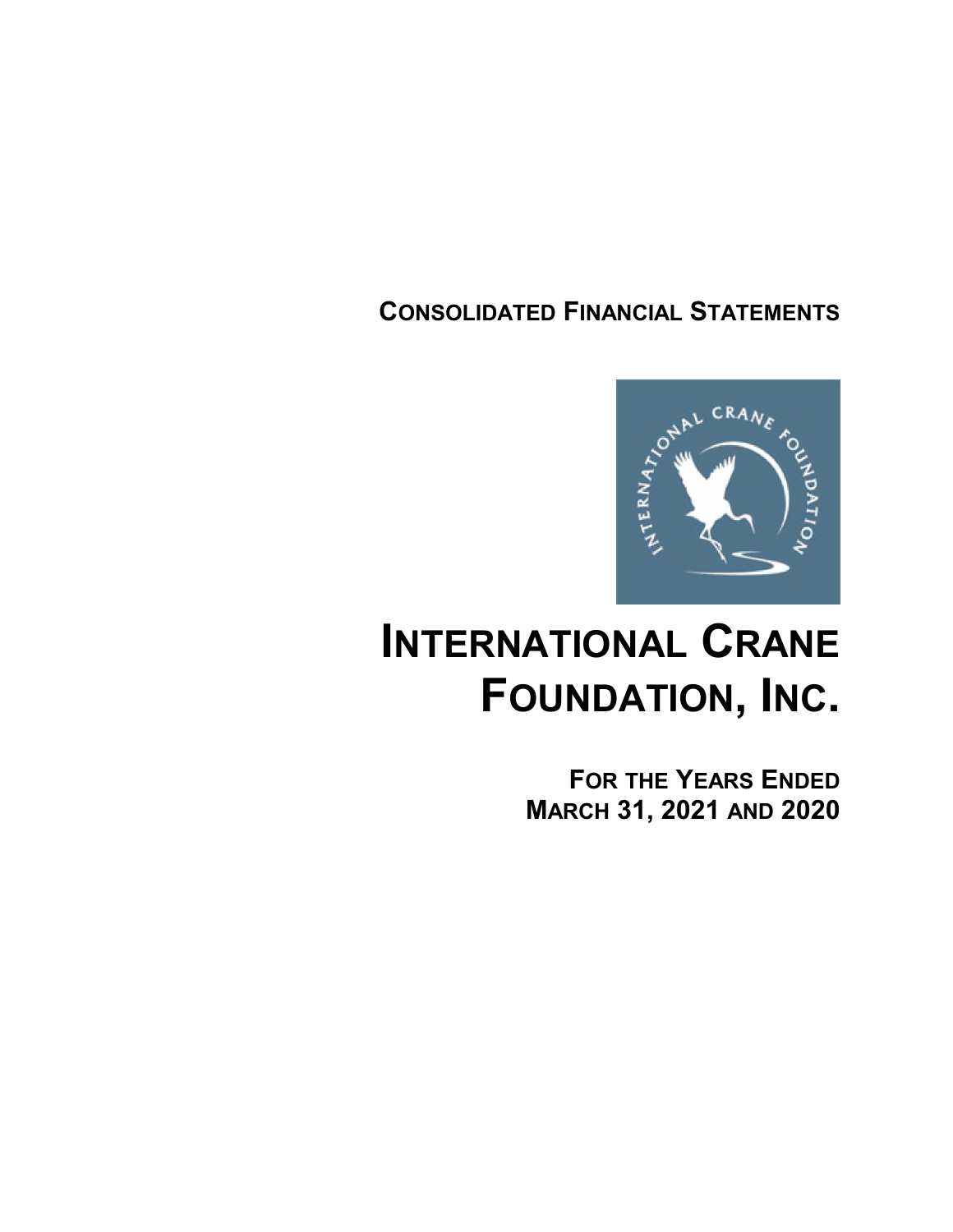# **CONSOLIDATED FINANCIAL STATEMENTS**



# **INTERNATIONAL CRANE FOUNDATION, INC.**

**FOR THE YEARS ENDED MARCH 31, 2021 AND 2020**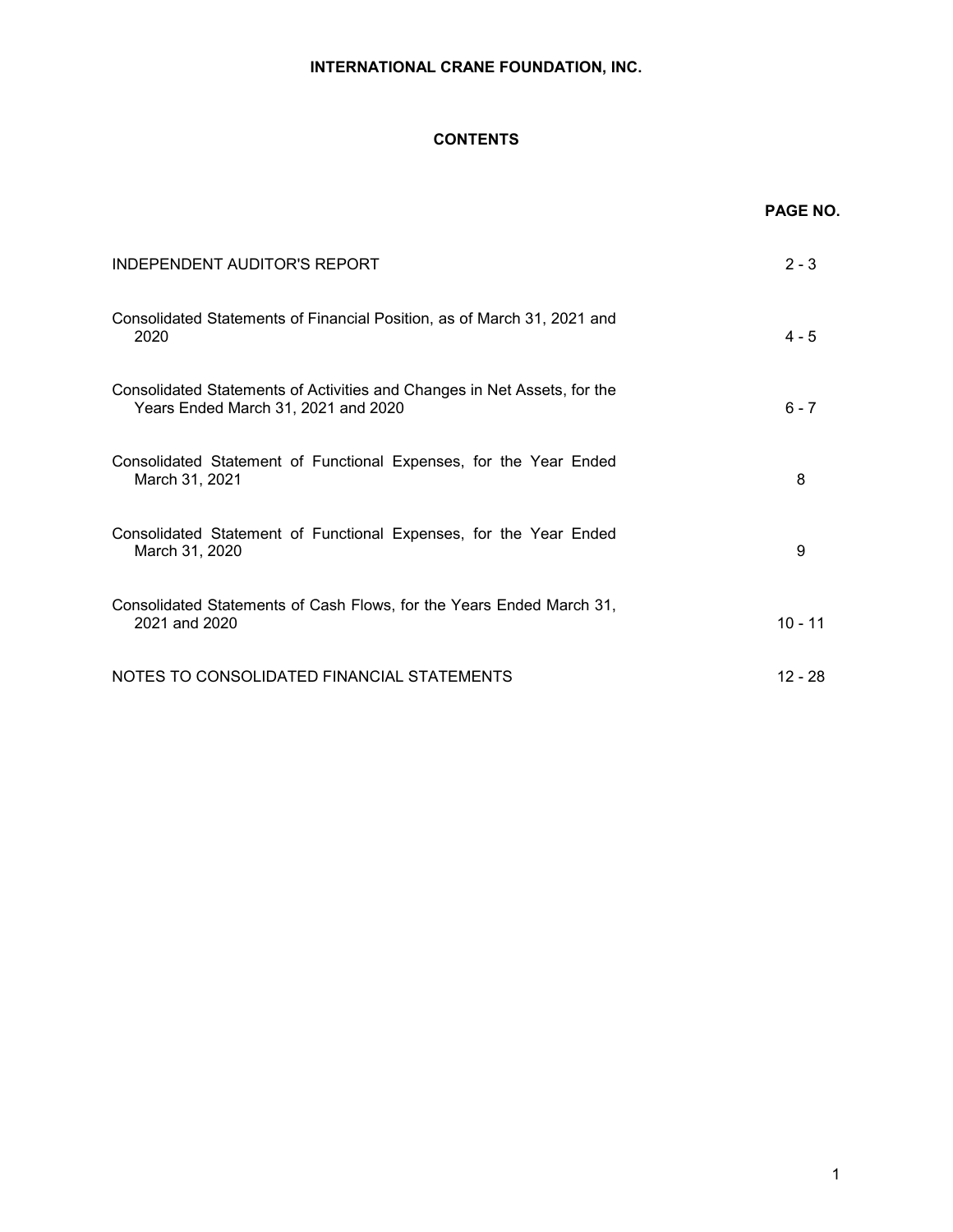# **CONTENTS**

|                                                                                                                 | <b>PAGE NO.</b> |
|-----------------------------------------------------------------------------------------------------------------|-----------------|
| <b>INDEPENDENT AUDITOR'S REPORT</b>                                                                             | $2 - 3$         |
| Consolidated Statements of Financial Position, as of March 31, 2021 and<br>2020                                 | $4 - 5$         |
| Consolidated Statements of Activities and Changes in Net Assets, for the<br>Years Ended March 31, 2021 and 2020 | $6 - 7$         |
| Consolidated Statement of Functional Expenses, for the Year Ended<br>March 31, 2021                             | 8               |
| Consolidated Statement of Functional Expenses, for the Year Ended<br>March 31, 2020                             | 9               |
| Consolidated Statements of Cash Flows, for the Years Ended March 31,<br>2021 and 2020                           | $10 - 11$       |
| NOTES TO CONSOLIDATED FINANCIAL STATEMENTS                                                                      | $12 - 28$       |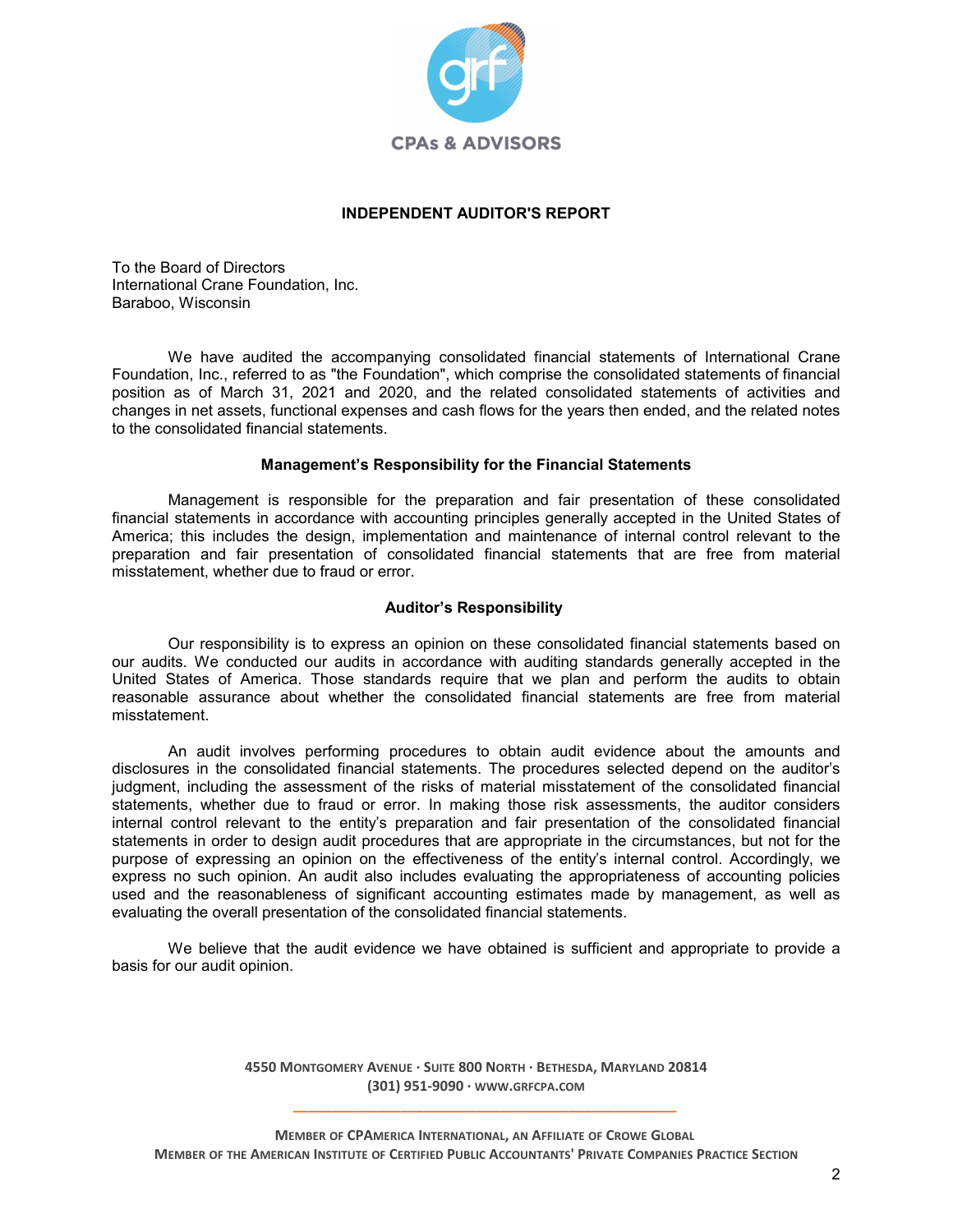

# **INDEPENDENT AUDITOR'S REPORT**

To the Board of Directors International Crane Foundation, Inc. Baraboo, Wisconsin

We have audited the accompanying consolidated financial statements of International Crane Foundation, Inc., referred to as "the Foundation", which comprise the consolidated statements of financial position as of March 31, 2021 and 2020, and the related consolidated statements of activities and changes in net assets, functional expenses and cash flows for the years then ended, and the related notes to the consolidated financial statements.

#### **Management's Responsibility for the Financial Statements**

Management is responsible for the preparation and fair presentation of these consolidated financial statements in accordance with accounting principles generally accepted in the United States of America; this includes the design, implementation and maintenance of internal control relevant to the preparation and fair presentation of consolidated financial statements that are free from material misstatement, whether due to fraud or error.

# **Auditor's Responsibility**

Our responsibility is to express an opinion on these consolidated financial statements based on our audits. We conducted our audits in accordance with auditing standards generally accepted in the United States of America. Those standards require that we plan and perform the audits to obtain reasonable assurance about whether the consolidated financial statements are free from material misstatement.

An audit involves performing procedures to obtain audit evidence about the amounts and disclosures in the consolidated financial statements. The procedures selected depend on the auditor's judgment, including the assessment of the risks of material misstatement of the consolidated financial statements, whether due to fraud or error. In making those risk assessments, the auditor considers internal control relevant to the entity's preparation and fair presentation of the consolidated financial statements in order to design audit procedures that are appropriate in the circumstances, but not for the purpose of expressing an opinion on the effectiveness of the entity's internal control. Accordingly, we express no such opinion. An audit also includes evaluating the appropriateness of accounting policies used and the reasonableness of significant accounting estimates made by management, as well as evaluating the overall presentation of the consolidated financial statements.

We believe that the audit evidence we have obtained is sufficient and appropriate to provide a basis for our audit opinion.

> **4550 MONTGOMERY AVENUE · SUITE 800 NORTH · BETHESDA, MARYLAND 20814 (301) 951-9090 · WWW.GRFCPA.COM \_\_\_\_\_\_\_\_\_\_\_\_\_\_\_\_\_\_\_\_\_\_\_\_\_\_\_\_\_\_\_\_\_\_\_\_\_\_\_\_\_\_\_\_\_\_\_\_\_\_**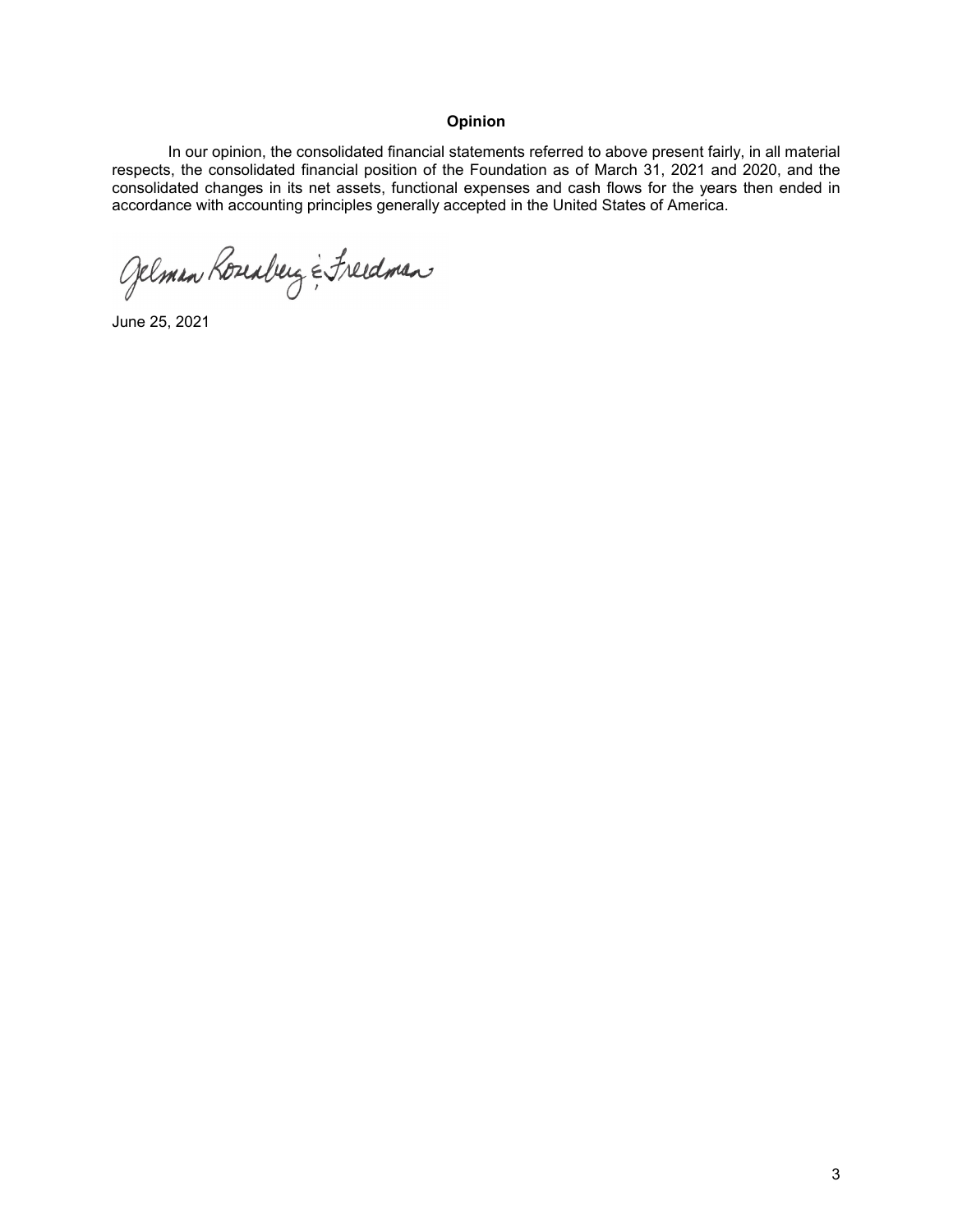# **Opinion**

In our opinion, the consolidated financial statements referred to above present fairly, in all material respects, the consolidated financial position of the Foundation as of March 31, 2021 and 2020, and the consolidated changes in its net assets, functional expenses and cash flows for the years then ended in accordance with accounting principles generally accepted in the United States of America.

Gelman Roseaberg & Freedman

June 25, 2021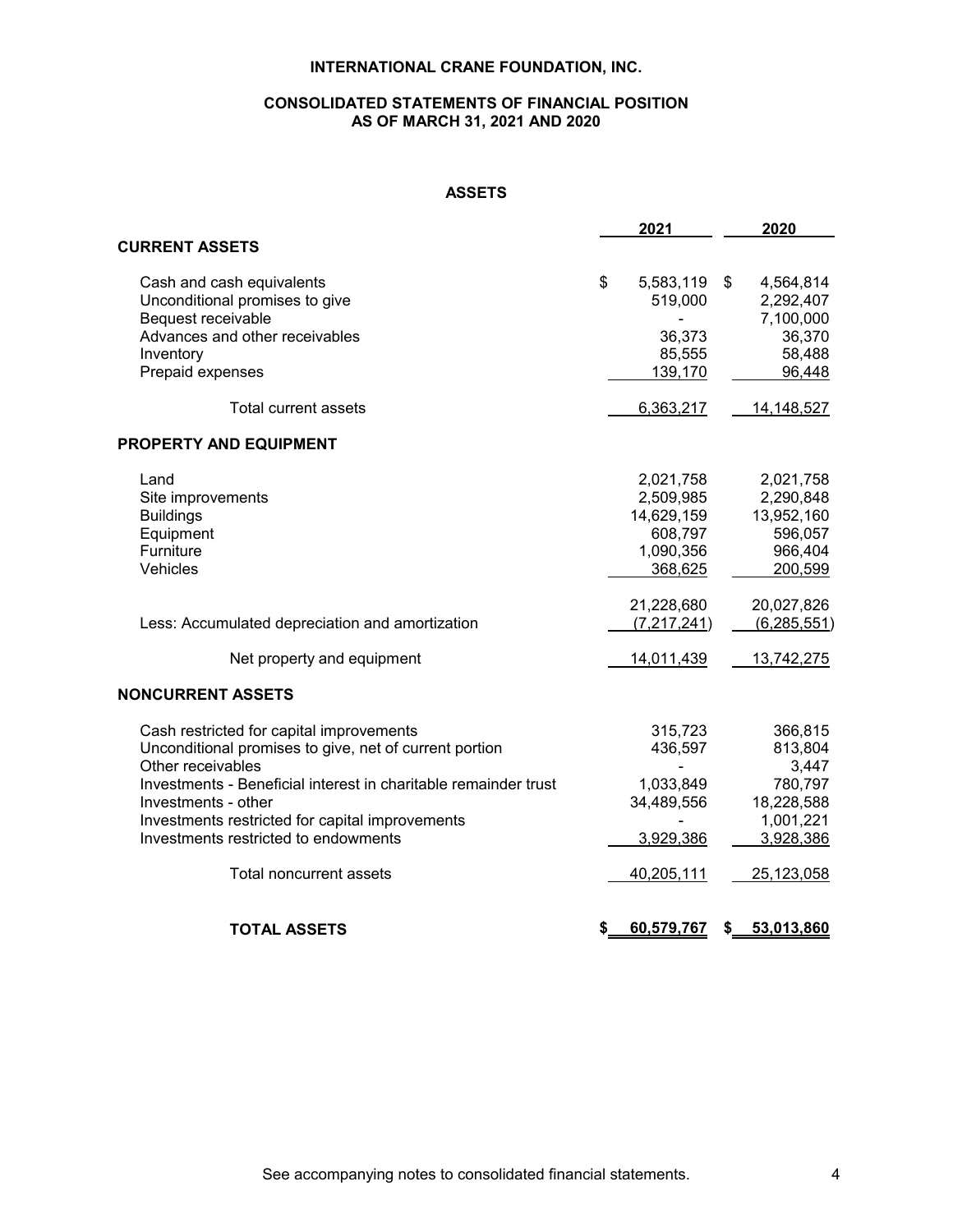# **CONSOLIDATED STATEMENTS OF FINANCIAL POSITION AS OF MARCH 31, 2021 AND 2020**

# **ASSETS**

|                                                                 | 2021                       | 2020                         |
|-----------------------------------------------------------------|----------------------------|------------------------------|
| <b>CURRENT ASSETS</b>                                           |                            |                              |
| Cash and cash equivalents<br>Unconditional promises to give     | \$<br>5,583,119<br>519,000 | \$<br>4,564,814<br>2,292,407 |
| Bequest receivable                                              |                            | 7,100,000                    |
| Advances and other receivables                                  | 36,373                     | 36,370                       |
| Inventory                                                       | 85,555                     | 58,488                       |
| Prepaid expenses                                                | 139,170                    | 96,448                       |
| Total current assets                                            | 6,363,217                  | 14,148,527                   |
| <b>PROPERTY AND EQUIPMENT</b>                                   |                            |                              |
| Land                                                            | 2,021,758                  | 2,021,758                    |
| Site improvements                                               | 2,509,985                  | 2,290,848                    |
| <b>Buildings</b>                                                | 14,629,159                 | 13,952,160                   |
| Equipment                                                       | 608,797                    | 596,057                      |
| Furniture                                                       | 1,090,356                  | 966,404                      |
| Vehicles                                                        | 368,625                    | 200,599                      |
|                                                                 | 21,228,680                 | 20,027,826                   |
| Less: Accumulated depreciation and amortization                 | (7, 217, 241)              | (6, 285, 551)                |
| Net property and equipment                                      | 14,011,439                 | 13,742,275                   |
| <b>NONCURRENT ASSETS</b>                                        |                            |                              |
| Cash restricted for capital improvements                        | 315,723                    | 366,815                      |
| Unconditional promises to give, net of current portion          | 436,597                    | 813,804                      |
| Other receivables                                               |                            | 3,447                        |
| Investments - Beneficial interest in charitable remainder trust | 1,033,849                  | 780,797                      |
| Investments - other                                             | 34,489,556                 | 18,228,588                   |
| Investments restricted for capital improvements                 |                            | 1,001,221                    |
| Investments restricted to endowments                            | 3,929,386                  | 3,928,386                    |
| <b>Total noncurrent assets</b>                                  | 40,205,111                 | 25,123,058                   |
| <b>TOTAL ASSETS</b>                                             | \$<br>60,579,767           | \$<br>53,013,860             |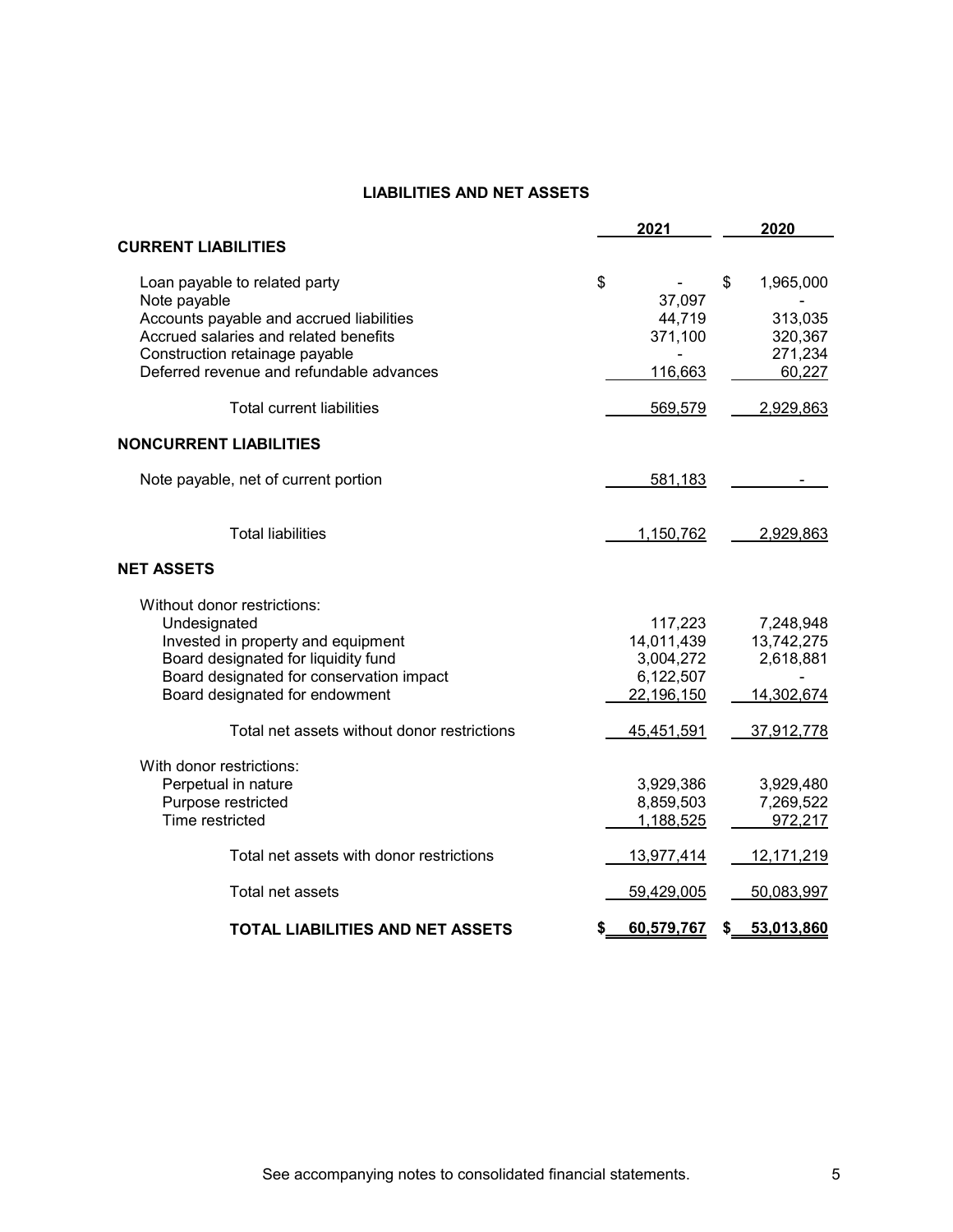# **LIABILITIES AND NET ASSETS**

|                                                                                                                                                                                                                  | 2021 |                                                                        |    |                                                                      |
|------------------------------------------------------------------------------------------------------------------------------------------------------------------------------------------------------------------|------|------------------------------------------------------------------------|----|----------------------------------------------------------------------|
| <b>CURRENT LIABILITIES</b>                                                                                                                                                                                       |      |                                                                        |    |                                                                      |
| Loan payable to related party<br>Note payable<br>Accounts payable and accrued liabilities<br>Accrued salaries and related benefits<br>Construction retainage payable<br>Deferred revenue and refundable advances | \$   | 37,097<br>44,719<br>371,100<br>116,663                                 | \$ | 1,965,000<br>313,035<br>320,367<br>271,234<br>60,227                 |
| Total current liabilities                                                                                                                                                                                        |      | 569,579                                                                |    | 2,929,863                                                            |
| <b>NONCURRENT LIABILITIES</b>                                                                                                                                                                                    |      |                                                                        |    |                                                                      |
| Note payable, net of current portion                                                                                                                                                                             |      | 581,183                                                                |    |                                                                      |
| <b>Total liabilities</b>                                                                                                                                                                                         |      | 1,150,762                                                              |    | 2,929,863                                                            |
| <b>NET ASSETS</b>                                                                                                                                                                                                |      |                                                                        |    |                                                                      |
| Without donor restrictions:<br>Undesignated<br>Invested in property and equipment<br>Board designated for liquidity fund<br>Board designated for conservation impact<br>Board designated for endowment           |      | 117,223<br>14,011,439<br>3,004,272<br>6,122,507<br>22,196,150          |    | 7,248,948<br>13,742,275<br>2,618,881<br>14,302,674                   |
| Total net assets without donor restrictions                                                                                                                                                                      |      | 45,451,591                                                             |    | 37,912,778                                                           |
| With donor restrictions:<br>Perpetual in nature<br>Purpose restricted<br>Time restricted<br>Total net assets with donor restrictions<br>Total net assets                                                         |      | 3,929,386<br>8,859,503<br>1,188,525<br><u>13,977,414</u><br>59,429,005 |    | 3,929,480<br>7,269,522<br>972,217<br><u>12,171,219</u><br>50,083,997 |
| <b>TOTAL LIABILITIES AND NET ASSETS</b>                                                                                                                                                                          | \$   | 60,579,767                                                             | \$ | 53,013,860                                                           |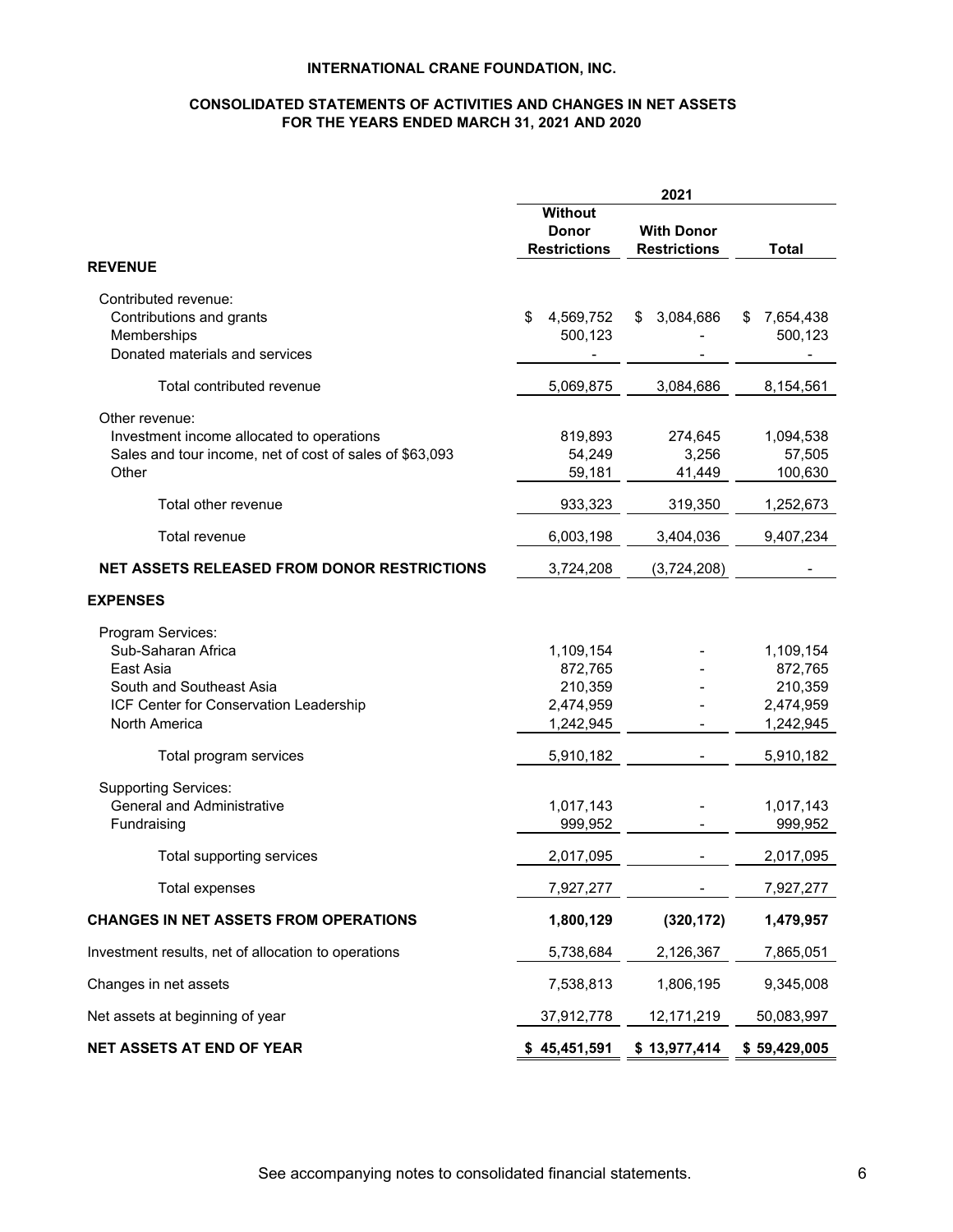# **CONSOLIDATED STATEMENTS OF ACTIVITIES AND CHANGES IN NET ASSETS FOR THE YEARS ENDED MARCH 31, 2021 AND 2020**

|                                                                                                                                             |                                                           | 2021                                     |                                                           |
|---------------------------------------------------------------------------------------------------------------------------------------------|-----------------------------------------------------------|------------------------------------------|-----------------------------------------------------------|
|                                                                                                                                             | Without<br><b>Donor</b><br><b>Restrictions</b>            | <b>With Donor</b><br><b>Restrictions</b> | <b>Total</b>                                              |
| <b>REVENUE</b>                                                                                                                              |                                                           |                                          |                                                           |
| Contributed revenue:<br>Contributions and grants<br>Memberships<br>Donated materials and services                                           | \$<br>4,569,752<br>500,123                                | 3,084,686<br>\$                          | 7,654,438<br>S<br>500,123                                 |
| Total contributed revenue                                                                                                                   | 5,069,875                                                 | 3,084,686                                | 8,154,561                                                 |
| Other revenue:<br>Investment income allocated to operations<br>Sales and tour income, net of cost of sales of \$63,093<br>Other             | 819,893<br>54,249<br>59,181                               | 274,645<br>3,256<br>41,449               | 1,094,538<br>57,505<br>100,630                            |
| Total other revenue                                                                                                                         | 933,323                                                   | 319,350                                  | 1,252,673                                                 |
| Total revenue                                                                                                                               | 6,003,198                                                 | 3,404,036                                | 9,407,234                                                 |
| <b>NET ASSETS RELEASED FROM DONOR RESTRICTIONS</b>                                                                                          | 3,724,208                                                 | (3,724,208)                              |                                                           |
| <b>EXPENSES</b>                                                                                                                             |                                                           |                                          |                                                           |
| Program Services:<br>Sub-Saharan Africa<br>East Asia<br>South and Southeast Asia<br>ICF Center for Conservation Leadership<br>North America | 1,109,154<br>872,765<br>210,359<br>2,474,959<br>1,242,945 |                                          | 1,109,154<br>872,765<br>210,359<br>2,474,959<br>1,242,945 |
| Total program services                                                                                                                      | 5,910,182                                                 |                                          | 5,910,182                                                 |
| <b>Supporting Services:</b><br><b>General and Administrative</b><br>Fundraising                                                             | 1,017,143<br>999,952                                      |                                          | 1,017,143<br>999,952                                      |
| Total supporting services                                                                                                                   | 2,017,095                                                 |                                          | 2,017,095                                                 |
| Total expenses                                                                                                                              | 7,927,277                                                 |                                          | 7,927,277                                                 |
| CHANGES IN NET ASSETS FROM OPERATIONS                                                                                                       | 1,800,129                                                 | (320, 172)                               | 1,479,957                                                 |
| Investment results, net of allocation to operations                                                                                         | 5,738,684                                                 | 2,126,367                                | 7,865,051                                                 |
| Changes in net assets                                                                                                                       | 7,538,813                                                 | 1,806,195                                | 9,345,008                                                 |
| Net assets at beginning of year                                                                                                             | 37,912,778                                                | 12,171,219                               | 50,083,997                                                |
| <b>NET ASSETS AT END OF YEAR</b>                                                                                                            | \$45,451,591                                              | \$13,977,414                             | \$59,429,005                                              |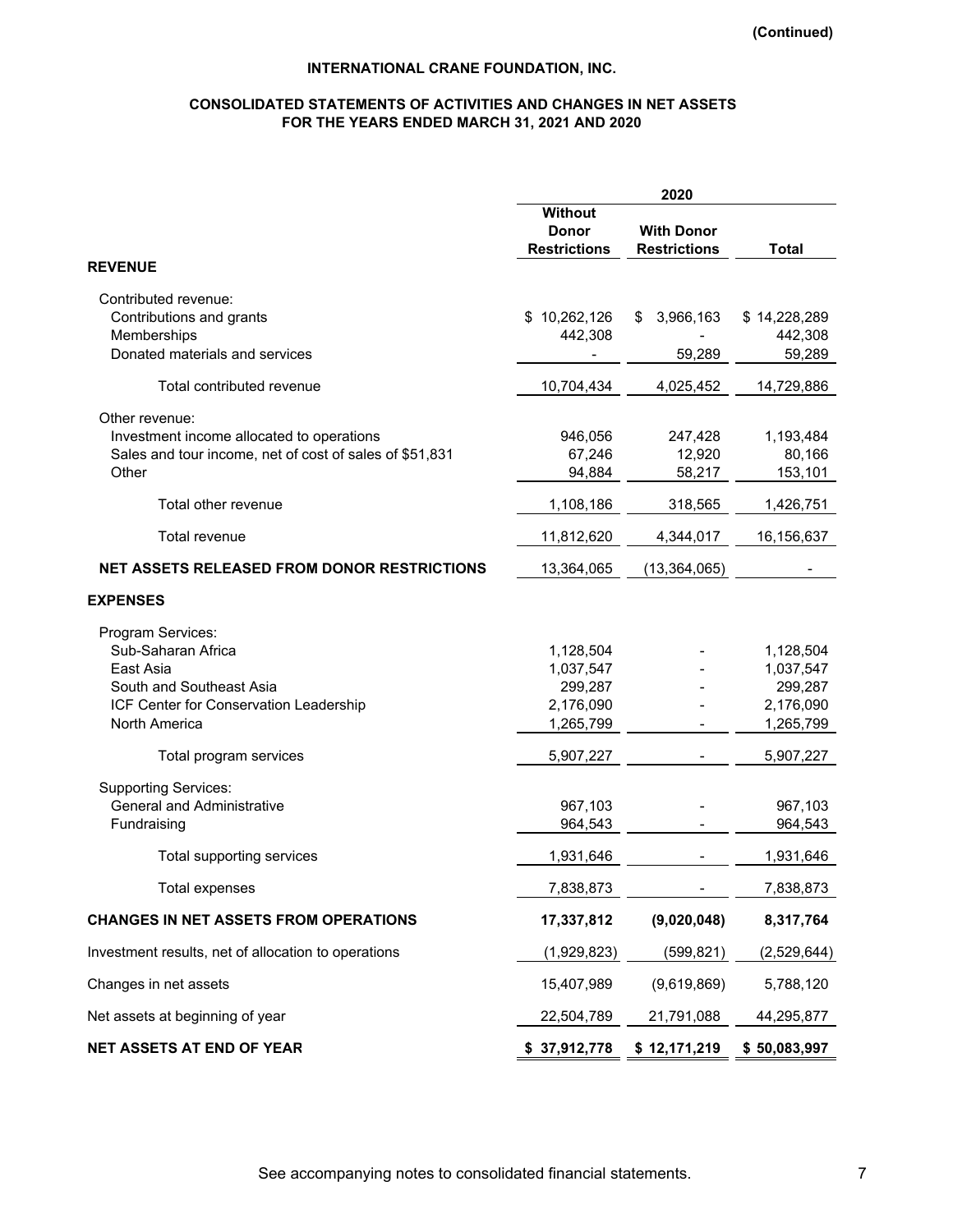# **CONSOLIDATED STATEMENTS OF ACTIVITIES AND CHANGES IN NET ASSETS FOR THE YEARS ENDED MARCH 31, 2021 AND 2020**

|                                                                                                                                             |                                                             | 2020                                     |                                                             |
|---------------------------------------------------------------------------------------------------------------------------------------------|-------------------------------------------------------------|------------------------------------------|-------------------------------------------------------------|
|                                                                                                                                             | Without<br><b>Donor</b><br><b>Restrictions</b>              | <b>With Donor</b><br><b>Restrictions</b> | <b>Total</b>                                                |
| <b>REVENUE</b>                                                                                                                              |                                                             |                                          |                                                             |
| Contributed revenue:<br>Contributions and grants<br>Memberships<br>Donated materials and services                                           | \$10,262,126<br>442,308                                     | 3,966,163<br>\$<br>59,289                | \$14,228,289<br>442,308<br>59,289                           |
| Total contributed revenue                                                                                                                   | 10,704,434                                                  | 4,025,452                                | 14,729,886                                                  |
| Other revenue:<br>Investment income allocated to operations<br>Sales and tour income, net of cost of sales of \$51,831<br>Other             | 946,056<br>67,246<br>94,884                                 | 247,428<br>12,920<br>58,217              | 1,193,484<br>80,166<br>153,101                              |
| Total other revenue                                                                                                                         | 1,108,186                                                   | 318,565                                  | 1,426,751                                                   |
| Total revenue                                                                                                                               | 11,812,620                                                  | 4,344,017                                | 16,156,637                                                  |
| <b>NET ASSETS RELEASED FROM DONOR RESTRICTIONS</b>                                                                                          | 13,364,065                                                  | (13, 364, 065)                           |                                                             |
| <b>EXPENSES</b>                                                                                                                             |                                                             |                                          |                                                             |
| Program Services:<br>Sub-Saharan Africa<br>East Asia<br>South and Southeast Asia<br>ICF Center for Conservation Leadership<br>North America | 1,128,504<br>1,037,547<br>299,287<br>2,176,090<br>1,265,799 |                                          | 1,128,504<br>1,037,547<br>299,287<br>2,176,090<br>1,265,799 |
| Total program services                                                                                                                      | 5,907,227                                                   |                                          | 5,907,227                                                   |
| <b>Supporting Services:</b><br><b>General and Administrative</b><br>Fundraising                                                             | 967,103<br>964,543                                          |                                          | 967,103<br>964,543                                          |
| Total supporting services                                                                                                                   | 1,931,646                                                   |                                          | 1,931,646                                                   |
| Total expenses                                                                                                                              | 7,838,873                                                   |                                          | 7,838,873                                                   |
| <b>CHANGES IN NET ASSETS FROM OPERATIONS</b>                                                                                                | 17,337,812                                                  | (9,020,048)                              | 8,317,764                                                   |
| Investment results, net of allocation to operations                                                                                         | (1,929,823)                                                 | (599, 821)                               | (2,529,644)                                                 |
| Changes in net assets                                                                                                                       | 15,407,989                                                  | (9,619,869)                              | 5,788,120                                                   |
| Net assets at beginning of year                                                                                                             | 22,504,789                                                  | 21,791,088                               | 44,295,877                                                  |
| <b>NET ASSETS AT END OF YEAR</b>                                                                                                            | \$37,912,778                                                | \$12,171,219                             | \$50,083,997                                                |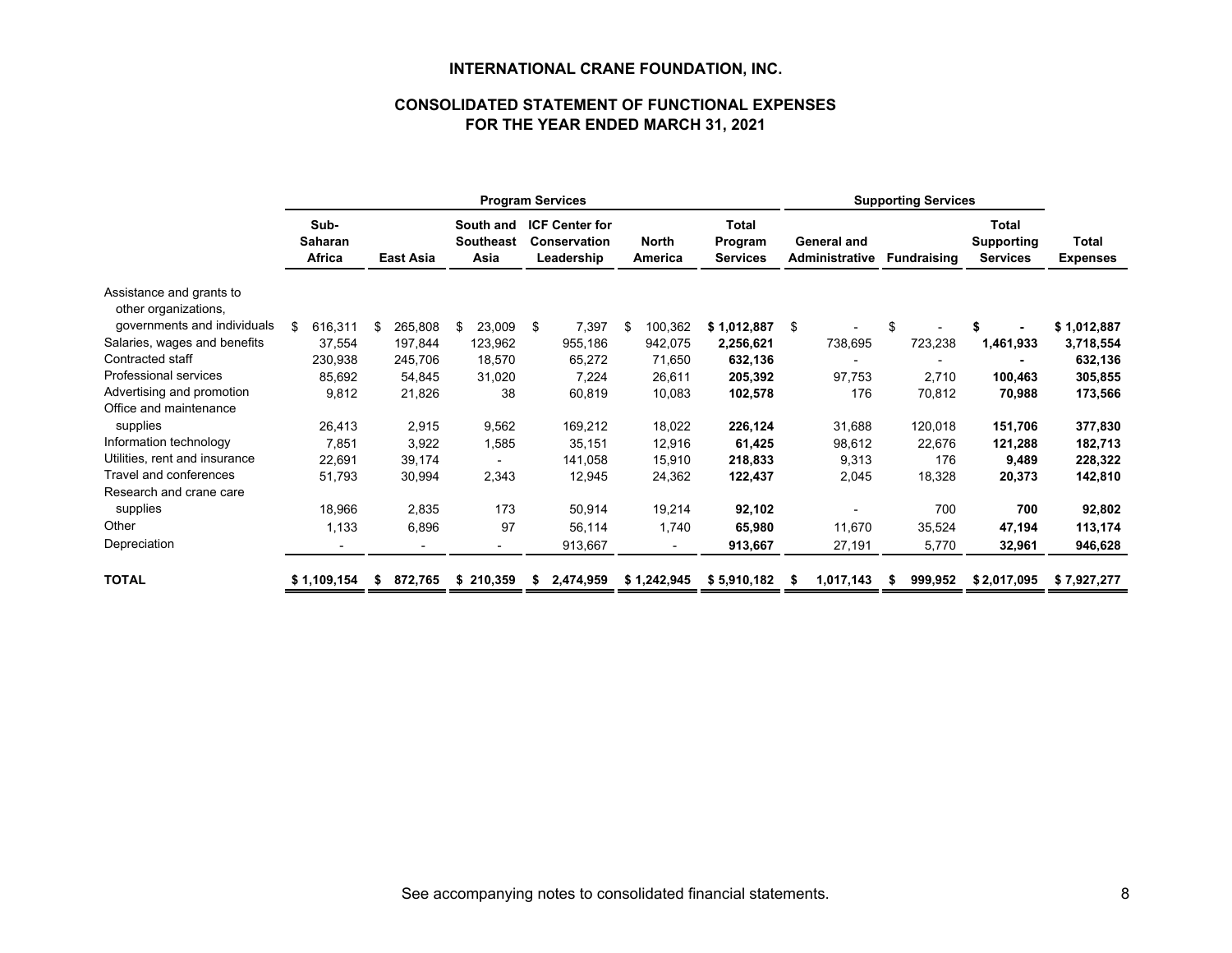# **CONSOLIDATED STATEMENT OF FUNCTIONAL EXPENSESFOR THE YEAR ENDED MARCH 31, 2021**

|                                                  |                                  |         |               |                                       | <b>Program Services</b>                                    |                         |                                     | <b>Supporting Services</b>           |                    |             |                          |  |
|--------------------------------------------------|----------------------------------|---------|---------------|---------------------------------------|------------------------------------------------------------|-------------------------|-------------------------------------|--------------------------------------|--------------------|-------------|--------------------------|--|
|                                                  | Sub-<br><b>Saharan</b><br>Africa |         | East Asia     | South and<br><b>Southeast</b><br>Asia | <b>ICF Center for</b><br><b>Conservation</b><br>Leadership | <b>North</b><br>America | Total<br>Program<br><b>Services</b> | General and<br><b>Administrative</b> | <b>Fundraising</b> |             | Total<br><b>Expenses</b> |  |
| Assistance and grants to<br>other organizations, |                                  |         |               |                                       |                                                            |                         |                                     |                                      |                    |             |                          |  |
| governments and individuals                      | \$                               | 616,311 | 265,808<br>\$ | 23,009<br>\$                          | 7,397<br>-\$                                               | 100,362<br>\$           | \$1,012,887                         | \$                                   | \$                 |             | \$1,012,887              |  |
| Salaries, wages and benefits                     |                                  | 37,554  | 197,844       | 123,962                               | 955,186                                                    | 942,075                 | 2,256,621                           | 738,695                              | 723,238            | 1,461,933   | 3,718,554                |  |
| Contracted staff                                 |                                  | 230,938 | 245,706       | 18,570                                | 65,272                                                     | 71,650                  | 632,136                             |                                      |                    |             | 632,136                  |  |
| Professional services                            |                                  | 85,692  | 54,845        | 31,020                                | 7,224                                                      | 26,611                  | 205,392                             | 97,753                               | 2,710              | 100,463     | 305,855                  |  |
| Advertising and promotion                        |                                  | 9,812   | 21,826        | 38                                    | 60,819                                                     | 10,083                  | 102,578                             | 176                                  | 70,812             | 70,988      | 173,566                  |  |
| Office and maintenance                           |                                  |         |               |                                       |                                                            |                         |                                     |                                      |                    |             |                          |  |
| supplies                                         |                                  | 26,413  | 2,915         | 9,562                                 | 169,212                                                    | 18,022                  | 226,124                             | 31,688                               | 120,018            | 151,706     | 377,830                  |  |
| Information technology                           |                                  | 7,851   | 3,922         | 1,585                                 | 35,151                                                     | 12,916                  | 61,425                              | 98,612                               | 22,676             | 121,288     | 182,713                  |  |
| Utilities, rent and insurance                    |                                  | 22,691  | 39,174        |                                       | 141,058                                                    | 15,910                  | 218,833                             | 9,313                                | 176                | 9,489       | 228,322                  |  |
| Travel and conferences                           |                                  | 51,793  | 30,994        | 2,343                                 | 12,945                                                     | 24,362                  | 122,437                             | 2,045                                | 18,328             | 20,373      | 142,810                  |  |
| Research and crane care                          |                                  |         |               |                                       |                                                            |                         |                                     |                                      |                    |             |                          |  |
| supplies                                         |                                  | 18,966  | 2,835         | 173                                   | 50,914                                                     | 19,214                  | 92,102                              |                                      | 700                | 700         | 92,802                   |  |
| Other                                            |                                  | 1,133   | 6,896         | 97                                    | 56,114                                                     | 1,740                   | 65,980                              | 11,670                               | 35,524             | 47,194      | 113,174                  |  |
| Depreciation                                     |                                  |         |               |                                       | 913,667                                                    |                         | 913,667                             | 27,191                               | 5,770              | 32,961      | 946,628                  |  |
| <b>TOTAL</b>                                     | \$1,109,154                      |         | 872,765<br>S  | \$210,359                             | 2,474,959<br>S                                             | \$1,242,945             | \$5,910,182                         | 1,017,143                            | 999,952            | \$2,017,095 | \$7,927,277              |  |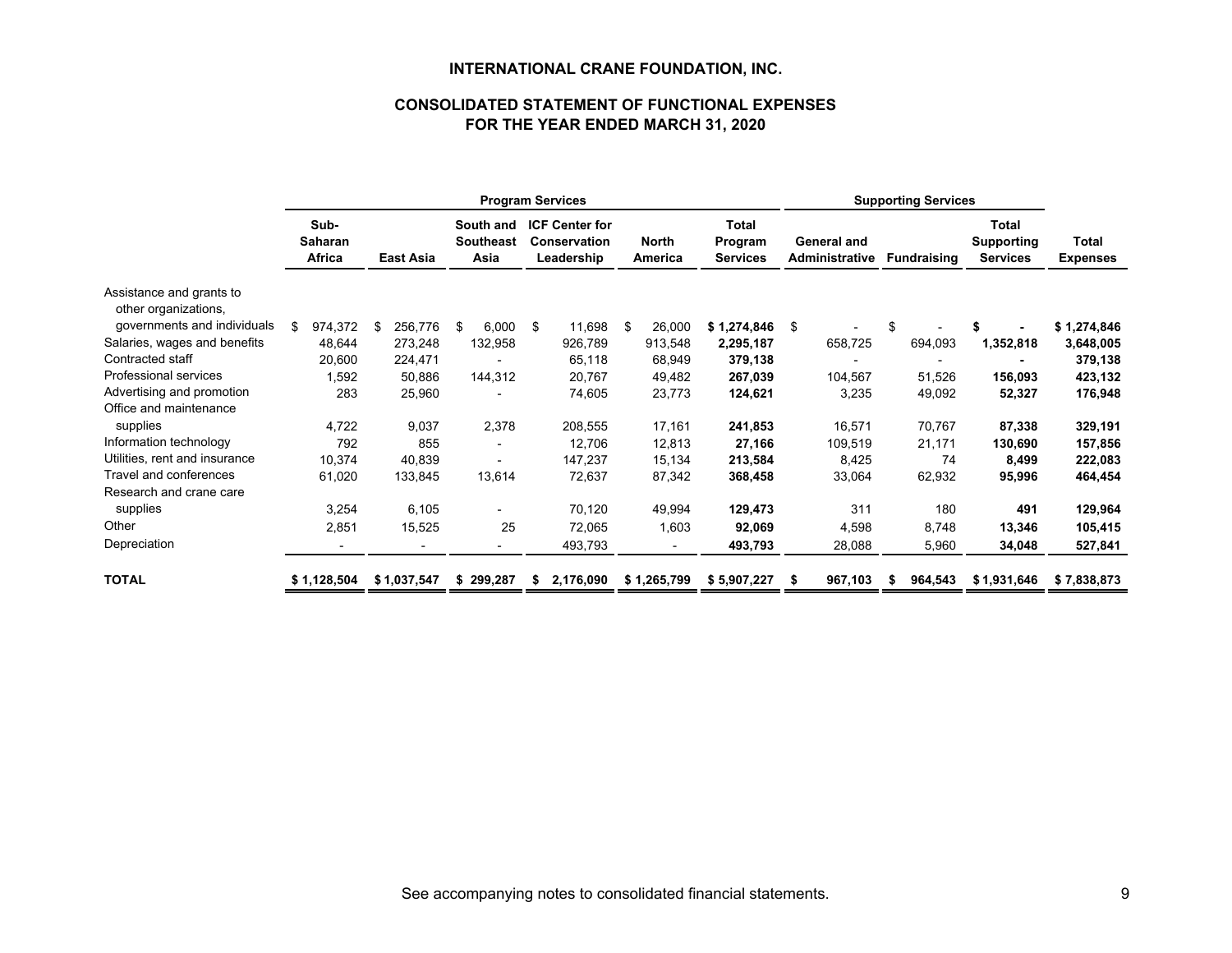# **CONSOLIDATED STATEMENT OF FUNCTIONAL EXPENSESFOR THE YEAR ENDED MARCH 31, 2020**

|                                                  |                                  |             |           |             | <b>Program Services</b>               |                                                            |                         |                                            |           |    |                                             |                    |                                               |                                 |
|--------------------------------------------------|----------------------------------|-------------|-----------|-------------|---------------------------------------|------------------------------------------------------------|-------------------------|--------------------------------------------|-----------|----|---------------------------------------------|--------------------|-----------------------------------------------|---------------------------------|
|                                                  | Sub-<br><b>Saharan</b><br>Africa |             | East Asia |             | South and<br><b>Southeast</b><br>Asia | <b>ICF Center for</b><br><b>Conservation</b><br>Leadership | <b>North</b><br>America | <b>Total</b><br>Program<br><b>Services</b> |           |    | <b>General and</b><br><b>Administrative</b> | <b>Fundraising</b> | Total<br><b>Supporting</b><br><b>Services</b> | <b>Total</b><br><b>Expenses</b> |
| Assistance and grants to<br>other organizations, |                                  |             |           |             |                                       |                                                            |                         |                                            |           |    |                                             |                    |                                               |                                 |
| governments and individuals                      | \$                               | 974,372     | \$        | 256,776     | \$<br>6.000                           | \$<br>11,698                                               | \$<br>26,000            | \$1,274,846                                |           | \$ |                                             |                    |                                               | \$1,274,846                     |
| Salaries, wages and benefits                     |                                  | 48,644      |           | 273,248     | 132,958                               | 926,789                                                    | 913,548                 |                                            | 2,295,187 |    | 658,725                                     | 694,093            | 1,352,818                                     | 3,648,005                       |
| Contracted staff                                 |                                  | 20,600      |           | 224,471     |                                       | 65,118                                                     | 68,949                  |                                            | 379,138   |    |                                             |                    |                                               | 379,138                         |
| Professional services                            |                                  | 1,592       |           | 50,886      | 144,312                               | 20,767                                                     | 49,482                  |                                            | 267,039   |    | 104,567                                     | 51,526             | 156,093                                       | 423,132                         |
| Advertising and promotion                        |                                  | 283         |           | 25,960      |                                       | 74,605                                                     | 23,773                  |                                            | 124,621   |    | 3,235                                       | 49,092             | 52,327                                        | 176,948                         |
| Office and maintenance                           |                                  |             |           |             |                                       |                                                            |                         |                                            |           |    |                                             |                    |                                               |                                 |
| supplies                                         |                                  | 4,722       |           | 9,037       | 2,378                                 | 208,555                                                    | 17,161                  |                                            | 241,853   |    | 16,571                                      | 70,767             | 87,338                                        | 329,191                         |
| Information technology                           |                                  | 792         |           | 855         | $\overline{\phantom{a}}$              | 12,706                                                     | 12,813                  |                                            | 27,166    |    | 109,519                                     | 21,171             | 130,690                                       | 157,856                         |
| Utilities, rent and insurance                    |                                  | 10,374      |           | 40,839      |                                       | 147,237                                                    | 15,134                  |                                            | 213,584   |    | 8,425                                       | 74                 | 8,499                                         | 222,083                         |
| Travel and conferences                           |                                  | 61,020      |           | 133,845     | 13,614                                | 72,637                                                     | 87,342                  |                                            | 368,458   |    | 33,064                                      | 62,932             | 95,996                                        | 464,454                         |
| Research and crane care                          |                                  |             |           |             |                                       |                                                            |                         |                                            |           |    |                                             |                    |                                               |                                 |
| supplies                                         |                                  | 3,254       |           | 6,105       |                                       | 70,120                                                     | 49,994                  |                                            | 129,473   |    | 311                                         | 180                | 491                                           | 129,964                         |
| Other                                            |                                  | 2,851       |           | 15,525      | 25                                    | 72,065                                                     | 1,603                   |                                            | 92,069    |    | 4,598                                       | 8,748              | 13,346                                        | 105,415                         |
| Depreciation                                     |                                  |             |           |             |                                       | 493,793                                                    |                         |                                            | 493,793   |    | 28,088                                      | 5,960              | 34,048                                        | 527,841                         |
| <b>TOTAL</b>                                     |                                  | \$1,128,504 |           | \$1,037,547 | \$299,287                             | \$<br>2,176,090                                            | \$1,265,799             | \$5,907,227                                |           |    | 967,103                                     | 964,543            | \$1,931,646                                   | \$7,838,873                     |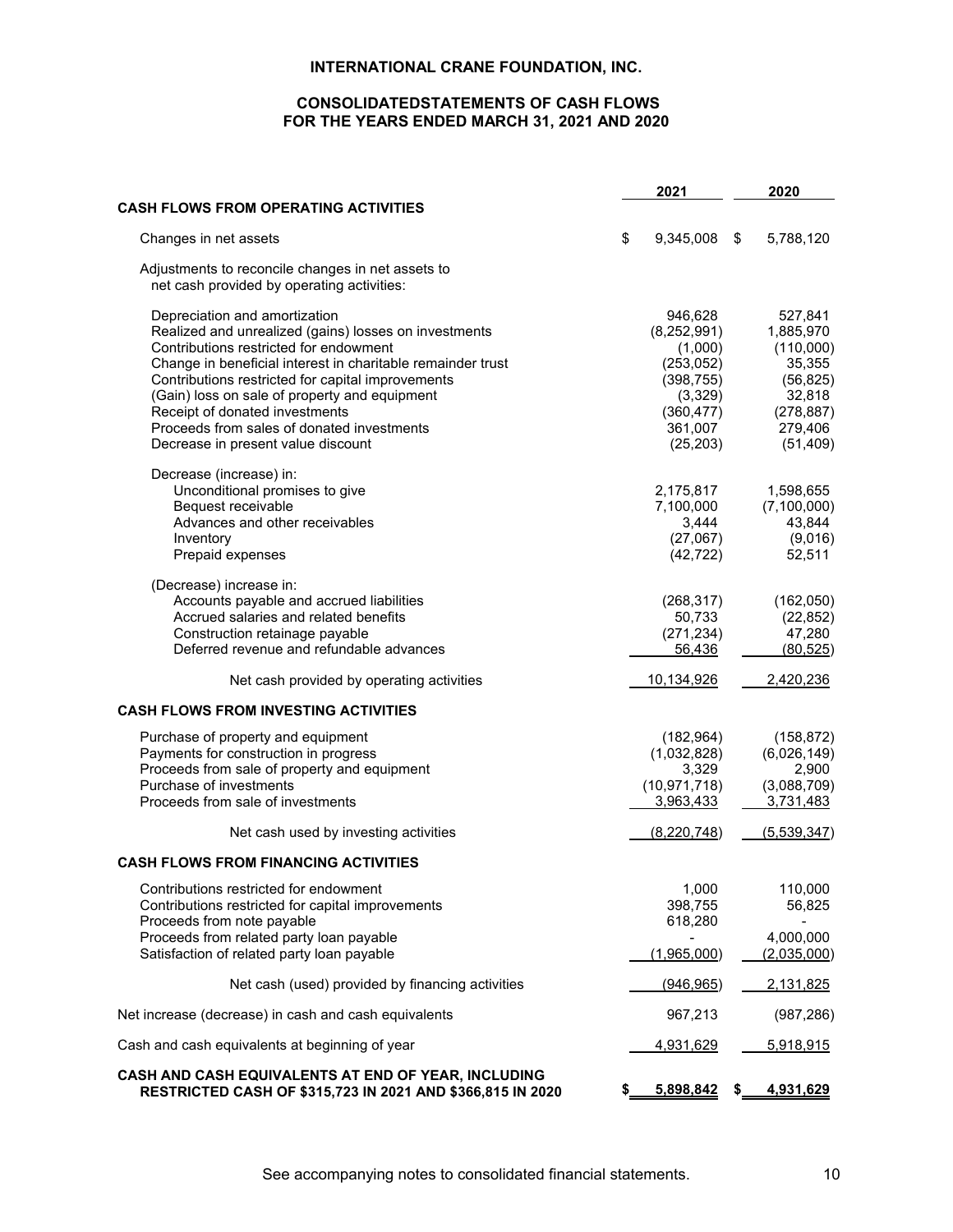# **CONSOLIDATEDSTATEMENTS OF CASH FLOWS FOR THE YEARS ENDED MARCH 31, 2021 AND 2020**

|                                                                                                                                                                                                                                                                                                                                                                                                                                                                                                                                                  | 2021                                                                                                                                              |     | 2020                                                                                                                                             |
|--------------------------------------------------------------------------------------------------------------------------------------------------------------------------------------------------------------------------------------------------------------------------------------------------------------------------------------------------------------------------------------------------------------------------------------------------------------------------------------------------------------------------------------------------|---------------------------------------------------------------------------------------------------------------------------------------------------|-----|--------------------------------------------------------------------------------------------------------------------------------------------------|
| <b>CASH FLOWS FROM OPERATING ACTIVITIES</b>                                                                                                                                                                                                                                                                                                                                                                                                                                                                                                      |                                                                                                                                                   |     |                                                                                                                                                  |
| Changes in net assets                                                                                                                                                                                                                                                                                                                                                                                                                                                                                                                            | \$<br>9,345,008                                                                                                                                   | \$  | 5,788,120                                                                                                                                        |
| Adjustments to reconcile changes in net assets to<br>net cash provided by operating activities:                                                                                                                                                                                                                                                                                                                                                                                                                                                  |                                                                                                                                                   |     |                                                                                                                                                  |
| Depreciation and amortization<br>Realized and unrealized (gains) losses on investments<br>Contributions restricted for endowment<br>Change in beneficial interest in charitable remainder trust<br>Contributions restricted for capital improvements<br>(Gain) loss on sale of property and equipment<br>Receipt of donated investments<br>Proceeds from sales of donated investments<br>Decrease in present value discount<br>Decrease (increase) in:<br>Unconditional promises to give<br>Bequest receivable<br>Advances and other receivables | 946,628<br>(8,252,991)<br>(1,000)<br>(253, 052)<br>(398, 755)<br>(3,329)<br>(360, 477)<br>361,007<br>(25, 203)<br>2,175,817<br>7,100,000<br>3,444 |     | 527,841<br>1,885,970<br>(110,000)<br>35,355<br>(56, 825)<br>32,818<br>(278, 887)<br>279,406<br>(51, 409)<br>1,598,655<br>(7, 100, 000)<br>43,844 |
| Inventory<br>Prepaid expenses                                                                                                                                                                                                                                                                                                                                                                                                                                                                                                                    | (27,067)<br>(42, 722)                                                                                                                             |     | (9,016)<br>52,511                                                                                                                                |
| (Decrease) increase in:<br>Accounts payable and accrued liabilities<br>Accrued salaries and related benefits<br>Construction retainage payable<br>Deferred revenue and refundable advances                                                                                                                                                                                                                                                                                                                                                       | (268, 317)<br>50,733<br>(271, 234)<br>56,436                                                                                                      |     | (162,050)<br>(22, 852)<br>47,280<br>(80, 525)                                                                                                    |
| Net cash provided by operating activities                                                                                                                                                                                                                                                                                                                                                                                                                                                                                                        | <u>10,134,926</u>                                                                                                                                 |     | 2,420,236                                                                                                                                        |
| <b>CASH FLOWS FROM INVESTING ACTIVITIES</b>                                                                                                                                                                                                                                                                                                                                                                                                                                                                                                      |                                                                                                                                                   |     |                                                                                                                                                  |
| Purchase of property and equipment<br>Payments for construction in progress<br>Proceeds from sale of property and equipment<br>Purchase of investments<br>Proceeds from sale of investments                                                                                                                                                                                                                                                                                                                                                      | (182, 964)<br>(1,032,828)<br>3,329<br>(10, 971, 718)<br>3,963,433                                                                                 |     | (158, 872)<br>(6,026,149)<br>2,900<br>(3,088,709)<br>3,731,483                                                                                   |
| Net cash used by investing activities                                                                                                                                                                                                                                                                                                                                                                                                                                                                                                            | (8,220,748)                                                                                                                                       |     | (5,539,347)                                                                                                                                      |
| <b>CASH FLOWS FROM FINANCING ACTIVITIES</b>                                                                                                                                                                                                                                                                                                                                                                                                                                                                                                      |                                                                                                                                                   |     |                                                                                                                                                  |
| Contributions restricted for endowment<br>Contributions restricted for capital improvements<br>Proceeds from note payable                                                                                                                                                                                                                                                                                                                                                                                                                        | 1,000<br>398,755<br>618,280                                                                                                                       |     | 110,000<br>56,825                                                                                                                                |
| Proceeds from related party loan payable<br>Satisfaction of related party loan payable                                                                                                                                                                                                                                                                                                                                                                                                                                                           | (1,965,000)                                                                                                                                       |     | 4,000,000<br>(2,035,000)                                                                                                                         |
| Net cash (used) provided by financing activities                                                                                                                                                                                                                                                                                                                                                                                                                                                                                                 | (946, 965)                                                                                                                                        |     | 2,131,825                                                                                                                                        |
| Net increase (decrease) in cash and cash equivalents                                                                                                                                                                                                                                                                                                                                                                                                                                                                                             | 967,213                                                                                                                                           |     | (987, 286)                                                                                                                                       |
| Cash and cash equivalents at beginning of year                                                                                                                                                                                                                                                                                                                                                                                                                                                                                                   | 4,931,629                                                                                                                                         |     | 5,918,915                                                                                                                                        |
| CASH AND CASH EQUIVALENTS AT END OF YEAR, INCLUDING<br>RESTRICTED CASH OF \$315,723 IN 2021 AND \$366,815 IN 2020                                                                                                                                                                                                                                                                                                                                                                                                                                | 5,898,842                                                                                                                                         | \$_ | 4,931,629                                                                                                                                        |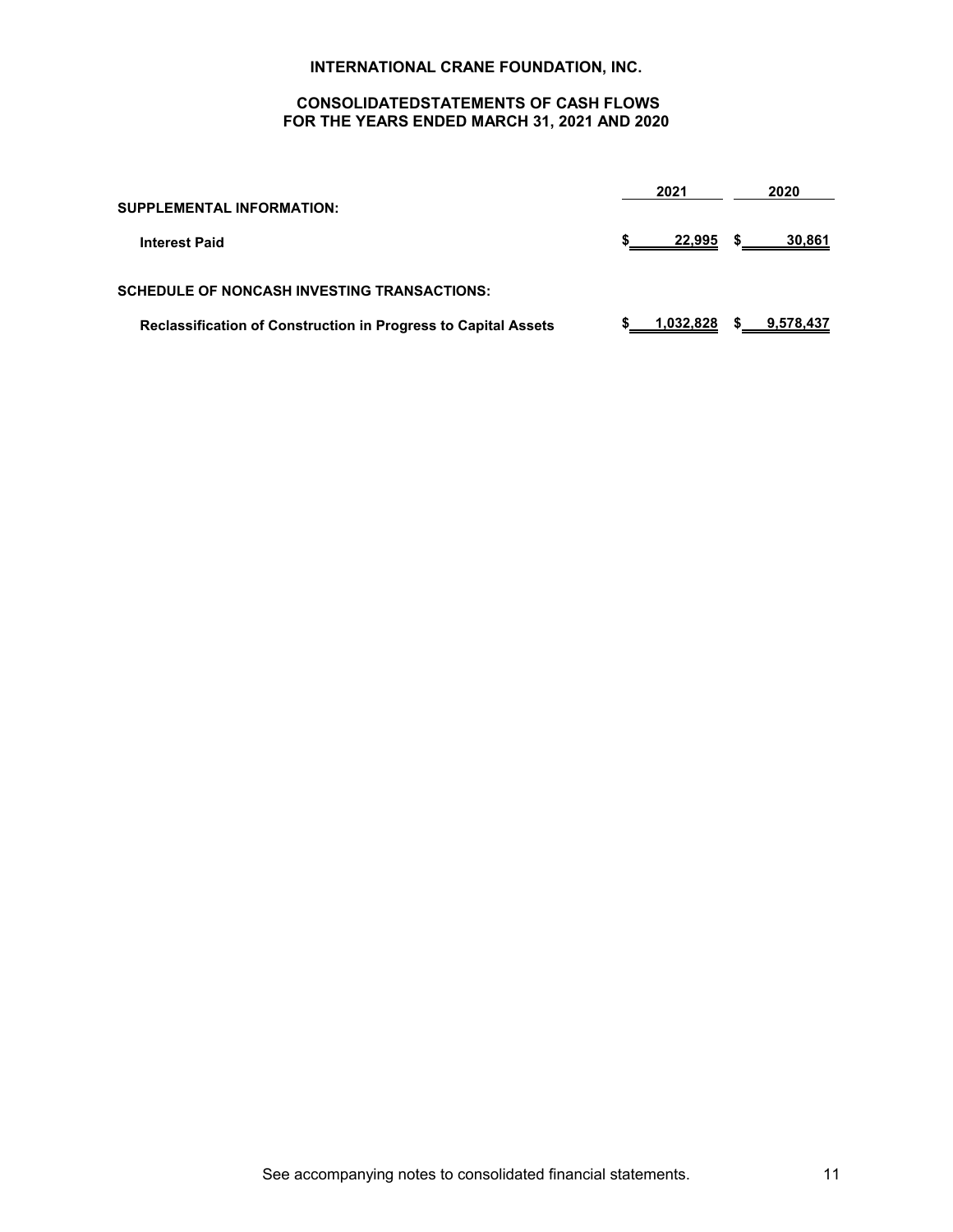# **CONSOLIDATEDSTATEMENTS OF CASH FLOWS FOR THE YEARS ENDED MARCH 31, 2021 AND 2020**

| <b>SUPPLEMENTAL INFORMATION:</b>                                      | 2021      |    | 2020      |
|-----------------------------------------------------------------------|-----------|----|-----------|
| <b>Interest Paid</b>                                                  | 22,995    | S. | 30,861    |
| <b>SCHEDULE OF NONCASH INVESTING TRANSACTIONS:</b>                    |           |    |           |
| <b>Reclassification of Construction in Progress to Capital Assets</b> | 1,032,828 | s. | 9.578,437 |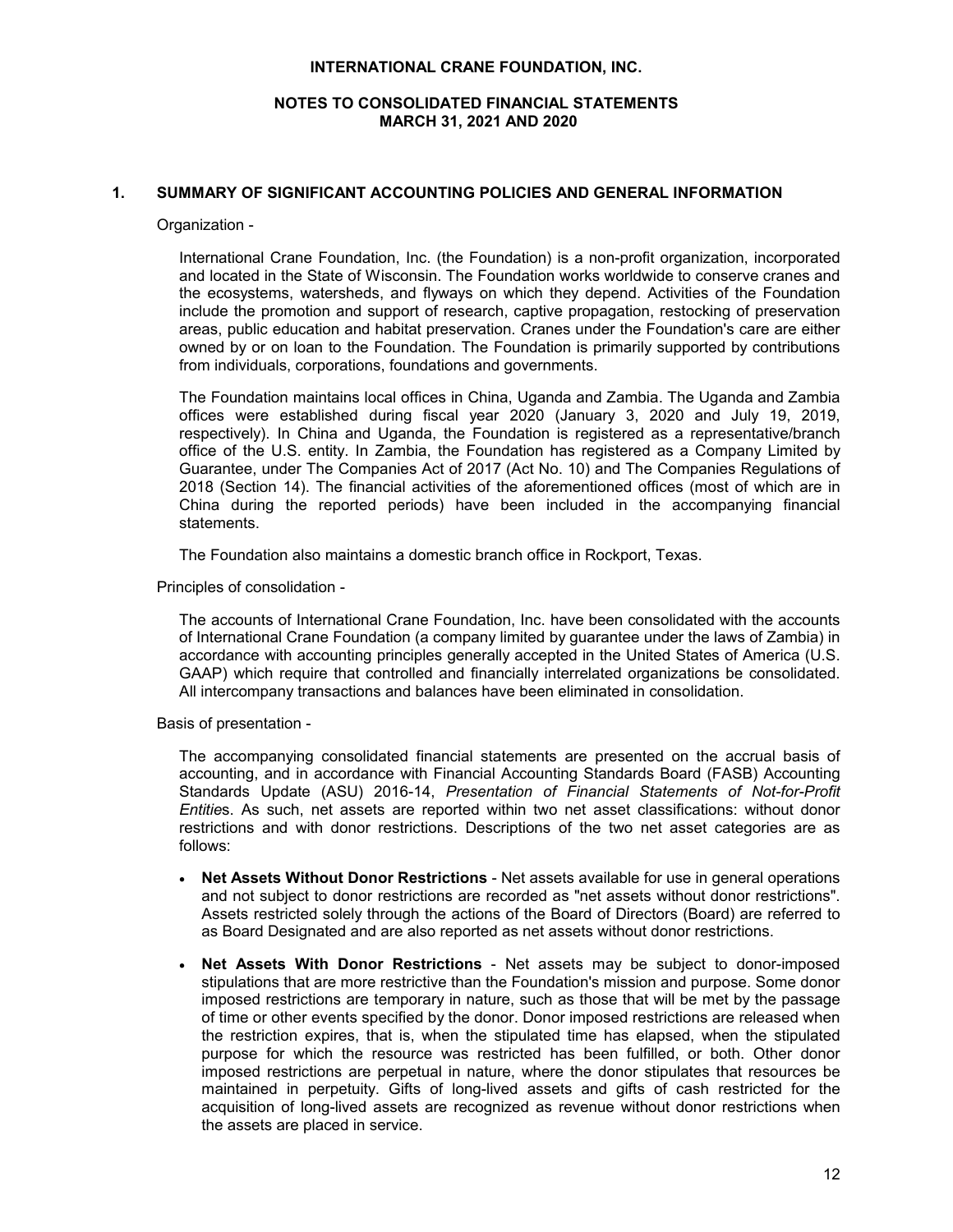# **NOTES TO CONSOLIDATED FINANCIAL STATEMENTS MARCH 31, 2021 AND 2020**

# **1. SUMMARY OF SIGNIFICANT ACCOUNTING POLICIES AND GENERAL INFORMATION**

Organization -

International Crane Foundation, Inc. (the Foundation) is a non-profit organization, incorporated and located in the State of Wisconsin. The Foundation works worldwide to conserve cranes and the ecosystems, watersheds, and flyways on which they depend. Activities of the Foundation include the promotion and support of research, captive propagation, restocking of preservation areas, public education and habitat preservation. Cranes under the Foundation's care are either owned by or on loan to the Foundation. The Foundation is primarily supported by contributions from individuals, corporations, foundations and governments.

The Foundation maintains local offices in China, Uganda and Zambia. The Uganda and Zambia offices were established during fiscal year 2020 (January 3, 2020 and July 19, 2019, respectively). In China and Uganda, the Foundation is registered as a representative/branch office of the U.S. entity. In Zambia, the Foundation has registered as a Company Limited by Guarantee, under The Companies Act of 2017 (Act No. 10) and The Companies Regulations of 2018 (Section 14). The financial activities of the aforementioned offices (most of which are in China during the reported periods) have been included in the accompanying financial statements.

The Foundation also maintains a domestic branch office in Rockport, Texas.

Principles of consolidation -

The accounts of International Crane Foundation, Inc. have been consolidated with the accounts of International Crane Foundation (a company limited by guarantee under the laws of Zambia) in accordance with accounting principles generally accepted in the United States of America (U.S. GAAP) which require that controlled and financially interrelated organizations be consolidated. All intercompany transactions and balances have been eliminated in consolidation.

Basis of presentation -

The accompanying consolidated financial statements are presented on the accrual basis of accounting, and in accordance with Financial Accounting Standards Board (FASB) Accounting Standards Update (ASU) 2016-14, *Presentation of Financial Statements of Not-for-Profit Entitie*s. As such, net assets are reported within two net asset classifications: without donor restrictions and with donor restrictions. Descriptions of the two net asset categories are as follows:

- **Net Assets Without Donor Restrictions** Net assets available for use in general operations and not subject to donor restrictions are recorded as "net assets without donor restrictions". Assets restricted solely through the actions of the Board of Directors (Board) are referred to as Board Designated and are also reported as net assets without donor restrictions.
- **Net Assets With Donor Restrictions** Net assets may be subject to donor-imposed stipulations that are more restrictive than the Foundation's mission and purpose. Some donor imposed restrictions are temporary in nature, such as those that will be met by the passage of time or other events specified by the donor. Donor imposed restrictions are released when the restriction expires, that is, when the stipulated time has elapsed, when the stipulated purpose for which the resource was restricted has been fulfilled, or both. Other donor imposed restrictions are perpetual in nature, where the donor stipulates that resources be maintained in perpetuity. Gifts of long-lived assets and gifts of cash restricted for the acquisition of long-lived assets are recognized as revenue without donor restrictions when the assets are placed in service.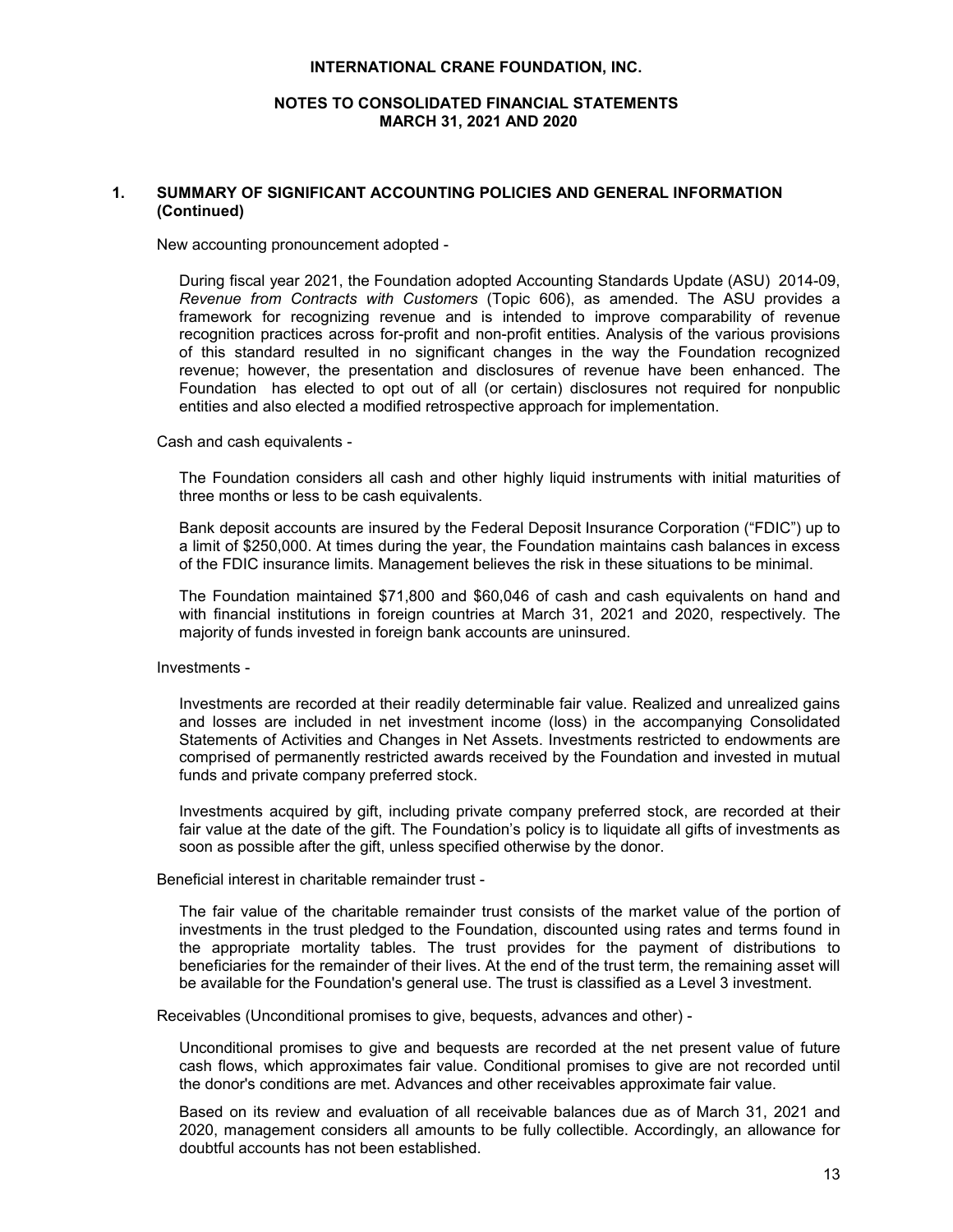# **NOTES TO CONSOLIDATED FINANCIAL STATEMENTS MARCH 31, 2021 AND 2020**

# **1. SUMMARY OF SIGNIFICANT ACCOUNTING POLICIES AND GENERAL INFORMATION (Continued)**

New accounting pronouncement adopted -

During fiscal year 2021, the Foundation adopted Accounting Standards Update (ASU) 2014-09, *Revenue from Contracts with Customers* (Topic 606), as amended. The ASU provides a framework for recognizing revenue and is intended to improve comparability of revenue recognition practices across for-profit and non-profit entities. Analysis of the various provisions of this standard resulted in no significant changes in the way the Foundation recognized revenue; however, the presentation and disclosures of revenue have been enhanced. The Foundation has elected to opt out of all (or certain) disclosures not required for nonpublic entities and also elected a modified retrospective approach for implementation.

Cash and cash equivalents -

The Foundation considers all cash and other highly liquid instruments with initial maturities of three months or less to be cash equivalents.

Bank deposit accounts are insured by the Federal Deposit Insurance Corporation ("FDIC") up to a limit of \$250,000. At times during the year, the Foundation maintains cash balances in excess of the FDIC insurance limits. Management believes the risk in these situations to be minimal.

The Foundation maintained \$71,800 and \$60,046 of cash and cash equivalents on hand and with financial institutions in foreign countries at March 31, 2021 and 2020, respectively. The majority of funds invested in foreign bank accounts are uninsured.

Investments -

Investments are recorded at their readily determinable fair value. Realized and unrealized gains and losses are included in net investment income (loss) in the accompanying Consolidated Statements of Activities and Changes in Net Assets. Investments restricted to endowments are comprised of permanently restricted awards received by the Foundation and invested in mutual funds and private company preferred stock.

Investments acquired by gift, including private company preferred stock, are recorded at their fair value at the date of the gift. The Foundation's policy is to liquidate all gifts of investments as soon as possible after the gift, unless specified otherwise by the donor.

Beneficial interest in charitable remainder trust -

The fair value of the charitable remainder trust consists of the market value of the portion of investments in the trust pledged to the Foundation, discounted using rates and terms found in the appropriate mortality tables. The trust provides for the payment of distributions to beneficiaries for the remainder of their lives. At the end of the trust term, the remaining asset will be available for the Foundation's general use. The trust is classified as a Level 3 investment.

Receivables (Unconditional promises to give, bequests, advances and other) -

Unconditional promises to give and bequests are recorded at the net present value of future cash flows, which approximates fair value. Conditional promises to give are not recorded until the donor's conditions are met. Advances and other receivables approximate fair value.

Based on its review and evaluation of all receivable balances due as of March 31, 2021 and 2020, management considers all amounts to be fully collectible. Accordingly, an allowance for doubtful accounts has not been established.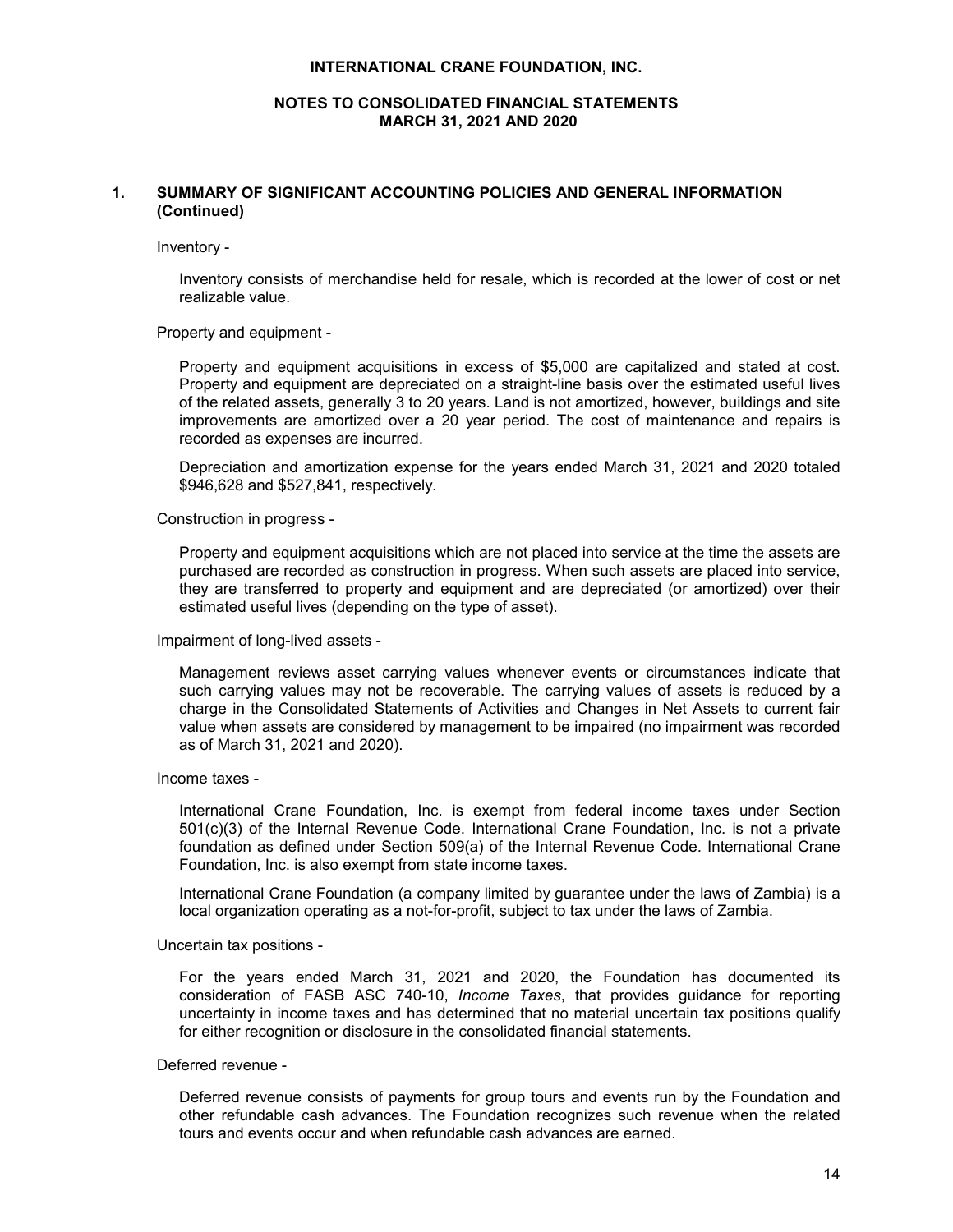# **NOTES TO CONSOLIDATED FINANCIAL STATEMENTS MARCH 31, 2021 AND 2020**

# **1. SUMMARY OF SIGNIFICANT ACCOUNTING POLICIES AND GENERAL INFORMATION (Continued)**

Inventory -

Inventory consists of merchandise held for resale, which is recorded at the lower of cost or net realizable value.

#### Property and equipment -

Property and equipment acquisitions in excess of \$5,000 are capitalized and stated at cost. Property and equipment are depreciated on a straight-line basis over the estimated useful lives of the related assets, generally 3 to 20 years. Land is not amortized, however, buildings and site improvements are amortized over a 20 year period. The cost of maintenance and repairs is recorded as expenses are incurred.

Depreciation and amortization expense for the years ended March 31, 2021 and 2020 totaled \$946,628 and \$527,841, respectively.

#### Construction in progress -

Property and equipment acquisitions which are not placed into service at the time the assets are purchased are recorded as construction in progress. When such assets are placed into service, they are transferred to property and equipment and are depreciated (or amortized) over their estimated useful lives (depending on the type of asset).

#### Impairment of long-lived assets -

Management reviews asset carrying values whenever events or circumstances indicate that such carrying values may not be recoverable. The carrying values of assets is reduced by a charge in the Consolidated Statements of Activities and Changes in Net Assets to current fair value when assets are considered by management to be impaired (no impairment was recorded as of March 31, 2021 and 2020).

#### Income taxes -

International Crane Foundation, Inc. is exempt from federal income taxes under Section 501(c)(3) of the Internal Revenue Code. International Crane Foundation, Inc. is not a private foundation as defined under Section 509(a) of the Internal Revenue Code. International Crane Foundation, Inc. is also exempt from state income taxes.

International Crane Foundation (a company limited by guarantee under the laws of Zambia) is a local organization operating as a not-for-profit, subject to tax under the laws of Zambia.

#### Uncertain tax positions -

For the years ended March 31, 2021 and 2020, the Foundation has documented its consideration of FASB ASC 740-10, *Income Taxes*, that provides guidance for reporting uncertainty in income taxes and has determined that no material uncertain tax positions qualify for either recognition or disclosure in the consolidated financial statements.

#### Deferred revenue -

Deferred revenue consists of payments for group tours and events run by the Foundation and other refundable cash advances. The Foundation recognizes such revenue when the related tours and events occur and when refundable cash advances are earned.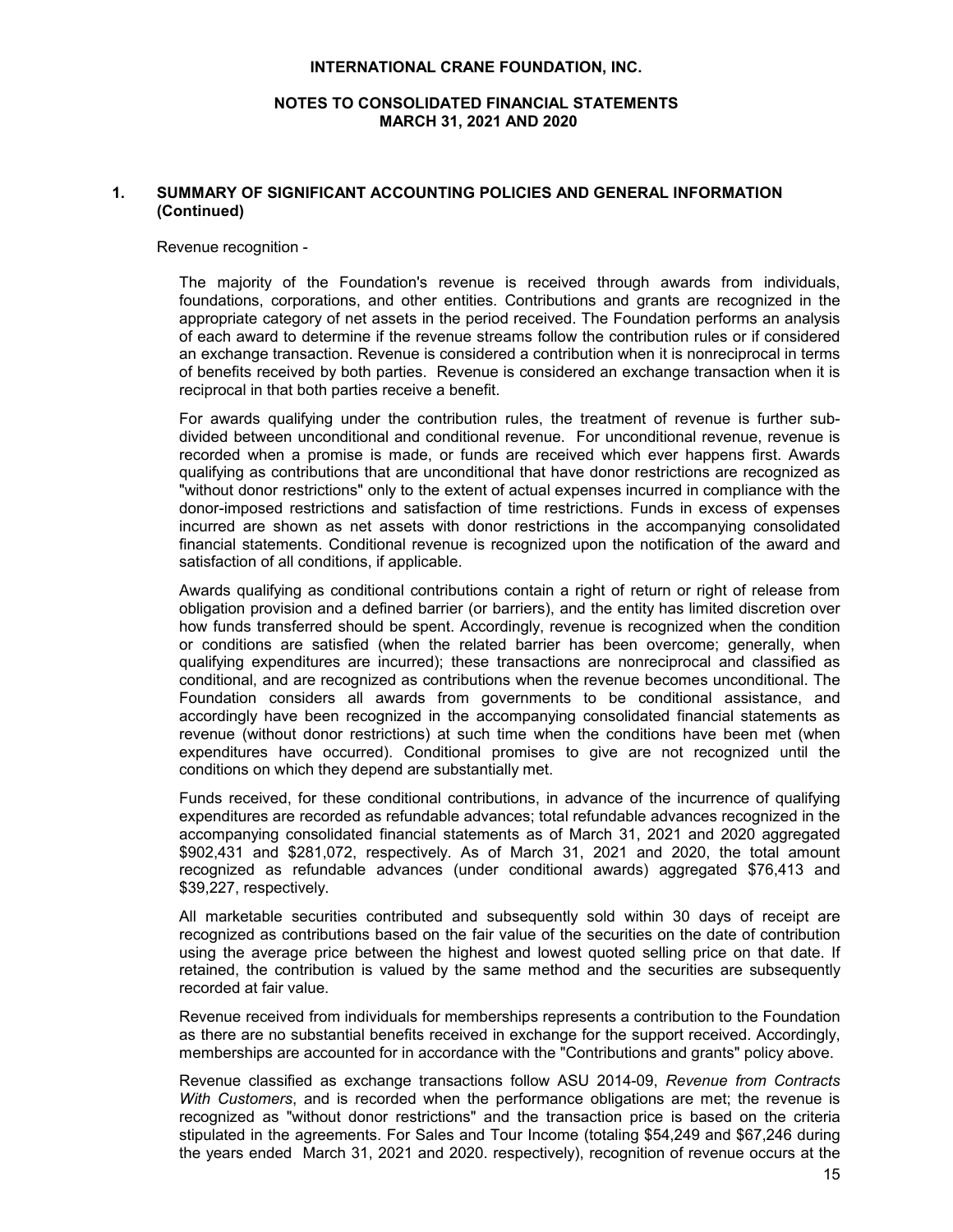# **NOTES TO CONSOLIDATED FINANCIAL STATEMENTS MARCH 31, 2021 AND 2020**

# **1. SUMMARY OF SIGNIFICANT ACCOUNTING POLICIES AND GENERAL INFORMATION (Continued)**

#### Revenue recognition -

The majority of the Foundation's revenue is received through awards from individuals, foundations, corporations, and other entities. Contributions and grants are recognized in the appropriate category of net assets in the period received. The Foundation performs an analysis of each award to determine if the revenue streams follow the contribution rules or if considered an exchange transaction. Revenue is considered a contribution when it is nonreciprocal in terms of benefits received by both parties. Revenue is considered an exchange transaction when it is reciprocal in that both parties receive a benefit.

For awards qualifying under the contribution rules, the treatment of revenue is further subdivided between unconditional and conditional revenue. For unconditional revenue, revenue is recorded when a promise is made, or funds are received which ever happens first. Awards qualifying as contributions that are unconditional that have donor restrictions are recognized as "without donor restrictions" only to the extent of actual expenses incurred in compliance with the donor-imposed restrictions and satisfaction of time restrictions. Funds in excess of expenses incurred are shown as net assets with donor restrictions in the accompanying consolidated financial statements. Conditional revenue is recognized upon the notification of the award and satisfaction of all conditions, if applicable.

Awards qualifying as conditional contributions contain a right of return or right of release from obligation provision and a defined barrier (or barriers), and the entity has limited discretion over how funds transferred should be spent. Accordingly, revenue is recognized when the condition or conditions are satisfied (when the related barrier has been overcome; generally, when qualifying expenditures are incurred); these transactions are nonreciprocal and classified as conditional, and are recognized as contributions when the revenue becomes unconditional. The Foundation considers all awards from governments to be conditional assistance, and accordingly have been recognized in the accompanying consolidated financial statements as revenue (without donor restrictions) at such time when the conditions have been met (when expenditures have occurred). Conditional promises to give are not recognized until the conditions on which they depend are substantially met.

Funds received, for these conditional contributions, in advance of the incurrence of qualifying expenditures are recorded as refundable advances; total refundable advances recognized in the accompanying consolidated financial statements as of March 31, 2021 and 2020 aggregated \$902,431 and \$281,072, respectively. As of March 31, 2021 and 2020, the total amount recognized as refundable advances (under conditional awards) aggregated \$76,413 and \$39,227, respectively.

All marketable securities contributed and subsequently sold within 30 days of receipt are recognized as contributions based on the fair value of the securities on the date of contribution using the average price between the highest and lowest quoted selling price on that date. If retained, the contribution is valued by the same method and the securities are subsequently recorded at fair value.

Revenue received from individuals for memberships represents a contribution to the Foundation as there are no substantial benefits received in exchange for the support received. Accordingly, memberships are accounted for in accordance with the "Contributions and grants" policy above.

Revenue classified as exchange transactions follow ASU 2014-09, *Revenue from Contracts With Customers*, and is recorded when the performance obligations are met; the revenue is recognized as "without donor restrictions" and the transaction price is based on the criteria stipulated in the agreements. For Sales and Tour Income (totaling \$54,249 and \$67,246 during the years ended March 31, 2021 and 2020. respectively), recognition of revenue occurs at the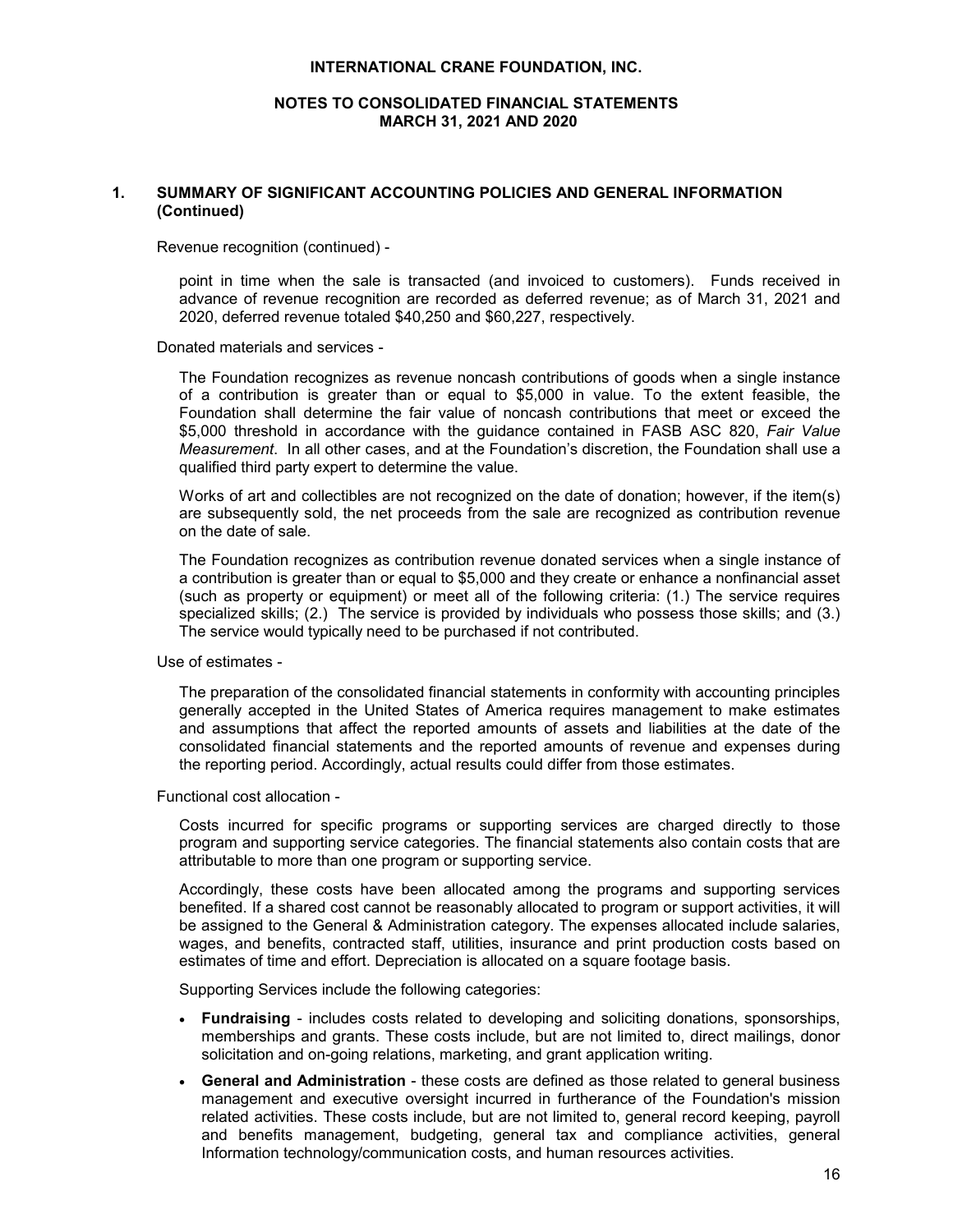# **NOTES TO CONSOLIDATED FINANCIAL STATEMENTS MARCH 31, 2021 AND 2020**

# **1. SUMMARY OF SIGNIFICANT ACCOUNTING POLICIES AND GENERAL INFORMATION (Continued)**

Revenue recognition (continued) -

point in time when the sale is transacted (and invoiced to customers). Funds received in advance of revenue recognition are recorded as deferred revenue; as of March 31, 2021 and 2020, deferred revenue totaled \$40,250 and \$60,227, respectively.

Donated materials and services -

The Foundation recognizes as revenue noncash contributions of goods when a single instance of a contribution is greater than or equal to \$5,000 in value. To the extent feasible, the Foundation shall determine the fair value of noncash contributions that meet or exceed the \$5,000 threshold in accordance with the guidance contained in FASB ASC 820, *Fair Value Measurement*. In all other cases, and at the Foundation's discretion, the Foundation shall use a qualified third party expert to determine the value.

Works of art and collectibles are not recognized on the date of donation; however, if the item(s) are subsequently sold, the net proceeds from the sale are recognized as contribution revenue on the date of sale.

The Foundation recognizes as contribution revenue donated services when a single instance of a contribution is greater than or equal to \$5,000 and they create or enhance a nonfinancial asset (such as property or equipment) or meet all of the following criteria: (1.) The service requires specialized skills; (2.) The service is provided by individuals who possess those skills; and (3.) The service would typically need to be purchased if not contributed.

Use of estimates -

The preparation of the consolidated financial statements in conformity with accounting principles generally accepted in the United States of America requires management to make estimates and assumptions that affect the reported amounts of assets and liabilities at the date of the consolidated financial statements and the reported amounts of revenue and expenses during the reporting period. Accordingly, actual results could differ from those estimates.

Functional cost allocation -

Costs incurred for specific programs or supporting services are charged directly to those program and supporting service categories. The financial statements also contain costs that are attributable to more than one program or supporting service.

Accordingly, these costs have been allocated among the programs and supporting services benefited. If a shared cost cannot be reasonably allocated to program or support activities, it will be assigned to the General & Administration category. The expenses allocated include salaries, wages, and benefits, contracted staff, utilities, insurance and print production costs based on estimates of time and effort. Depreciation is allocated on a square footage basis.

Supporting Services include the following categories:

- **Fundraising** includes costs related to developing and soliciting donations, sponsorships, memberships and grants. These costs include, but are not limited to, direct mailings, donor solicitation and on-going relations, marketing, and grant application writing.
- **General and Administration** these costs are defined as those related to general business management and executive oversight incurred in furtherance of the Foundation's mission related activities. These costs include, but are not limited to, general record keeping, payroll and benefits management, budgeting, general tax and compliance activities, general Information technology/communication costs, and human resources activities.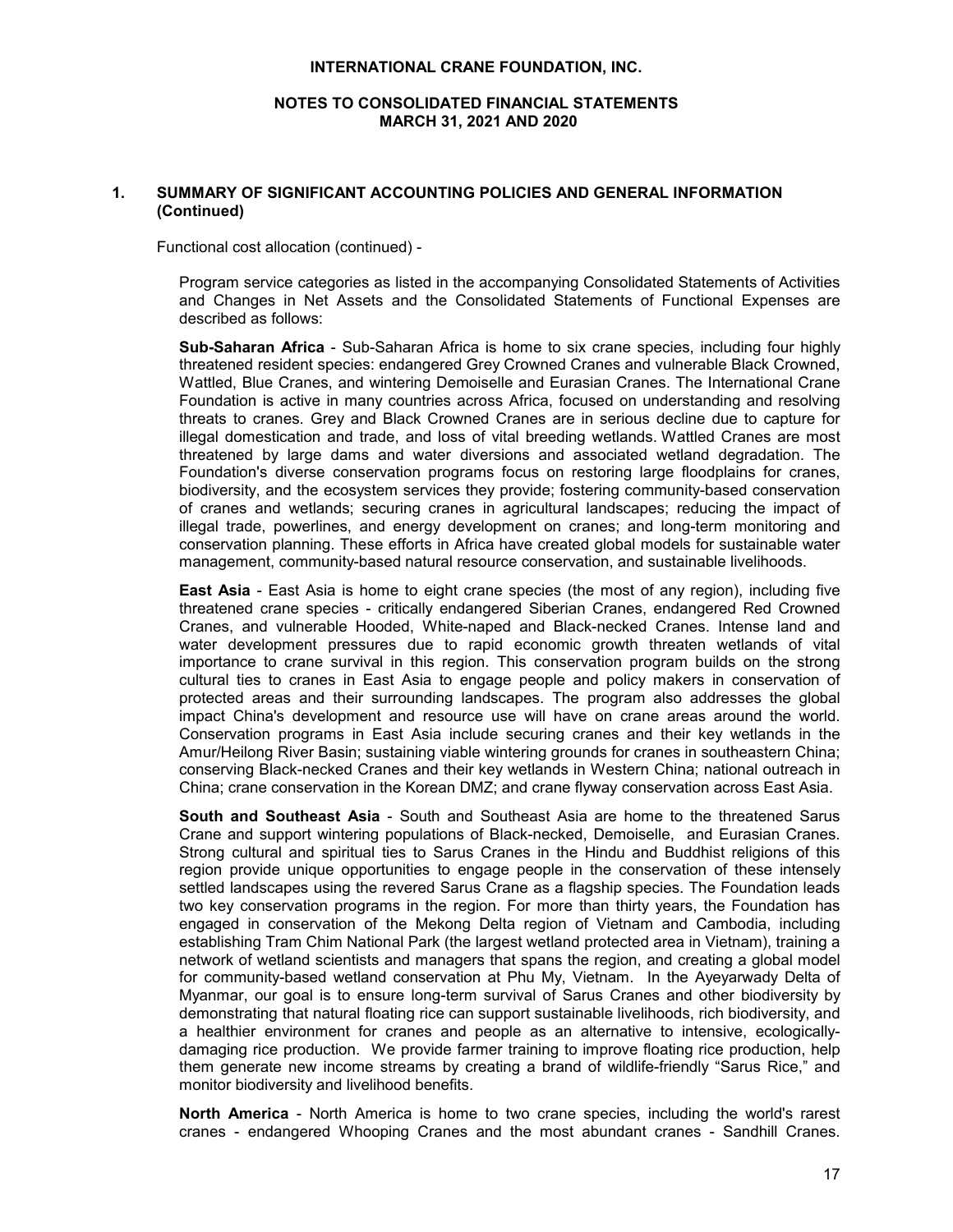# **NOTES TO CONSOLIDATED FINANCIAL STATEMENTS MARCH 31, 2021 AND 2020**

# **1. SUMMARY OF SIGNIFICANT ACCOUNTING POLICIES AND GENERAL INFORMATION (Continued)**

Functional cost allocation (continued) -

Program service categories as listed in the accompanying Consolidated Statements of Activities and Changes in Net Assets and the Consolidated Statements of Functional Expenses are described as follows:

**Sub-Saharan Africa** - Sub-Saharan Africa is home to six crane species, including four highly threatened resident species: endangered Grey Crowned Cranes and vulnerable Black Crowned, Wattled, Blue Cranes, and wintering Demoiselle and Eurasian Cranes. The International Crane Foundation is active in many countries across Africa, focused on understanding and resolving threats to cranes. Grey and Black Crowned Cranes are in serious decline due to capture for illegal domestication and trade, and loss of vital breeding wetlands. Wattled Cranes are most threatened by large dams and water diversions and associated wetland degradation. The Foundation's diverse conservation programs focus on restoring large floodplains for cranes, biodiversity, and the ecosystem services they provide; fostering community-based conservation of cranes and wetlands; securing cranes in agricultural landscapes; reducing the impact of illegal trade, powerlines, and energy development on cranes; and long-term monitoring and conservation planning. These efforts in Africa have created global models for sustainable water management, community-based natural resource conservation, and sustainable livelihoods.

**East Asia** - East Asia is home to eight crane species (the most of any region), including five threatened crane species - critically endangered Siberian Cranes, endangered Red Crowned Cranes, and vulnerable Hooded, White-naped and Black-necked Cranes. Intense land and water development pressures due to rapid economic growth threaten wetlands of vital importance to crane survival in this region. This conservation program builds on the strong cultural ties to cranes in East Asia to engage people and policy makers in conservation of protected areas and their surrounding landscapes. The program also addresses the global impact China's development and resource use will have on crane areas around the world. Conservation programs in East Asia include securing cranes and their key wetlands in the Amur/Heilong River Basin; sustaining viable wintering grounds for cranes in southeastern China; conserving Black-necked Cranes and their key wetlands in Western China; national outreach in China; crane conservation in the Korean DMZ; and crane flyway conservation across East Asia.

**South and Southeast Asia** - South and Southeast Asia are home to the threatened Sarus Crane and support wintering populations of Black-necked, Demoiselle, and Eurasian Cranes. Strong cultural and spiritual ties to Sarus Cranes in the Hindu and Buddhist religions of this region provide unique opportunities to engage people in the conservation of these intensely settled landscapes using the revered Sarus Crane as a flagship species. The Foundation leads two key conservation programs in the region. For more than thirty years, the Foundation has engaged in conservation of the Mekong Delta region of Vietnam and Cambodia, including establishing Tram Chim National Park (the largest wetland protected area in Vietnam), training a network of wetland scientists and managers that spans the region, and creating a global model for community-based wetland conservation at Phu My, Vietnam. In the Ayeyarwady Delta of Myanmar, our goal is to ensure long-term survival of Sarus Cranes and other biodiversity by demonstrating that natural floating rice can support sustainable livelihoods, rich biodiversity, and a healthier environment for cranes and people as an alternative to intensive, ecologicallydamaging rice production. We provide farmer training to improve floating rice production, help them generate new income streams by creating a brand of wildlife-friendly "Sarus Rice," and monitor biodiversity and livelihood benefits.

**North America** - North America is home to two crane species, including the world's rarest cranes - endangered Whooping Cranes and the most abundant cranes - Sandhill Cranes.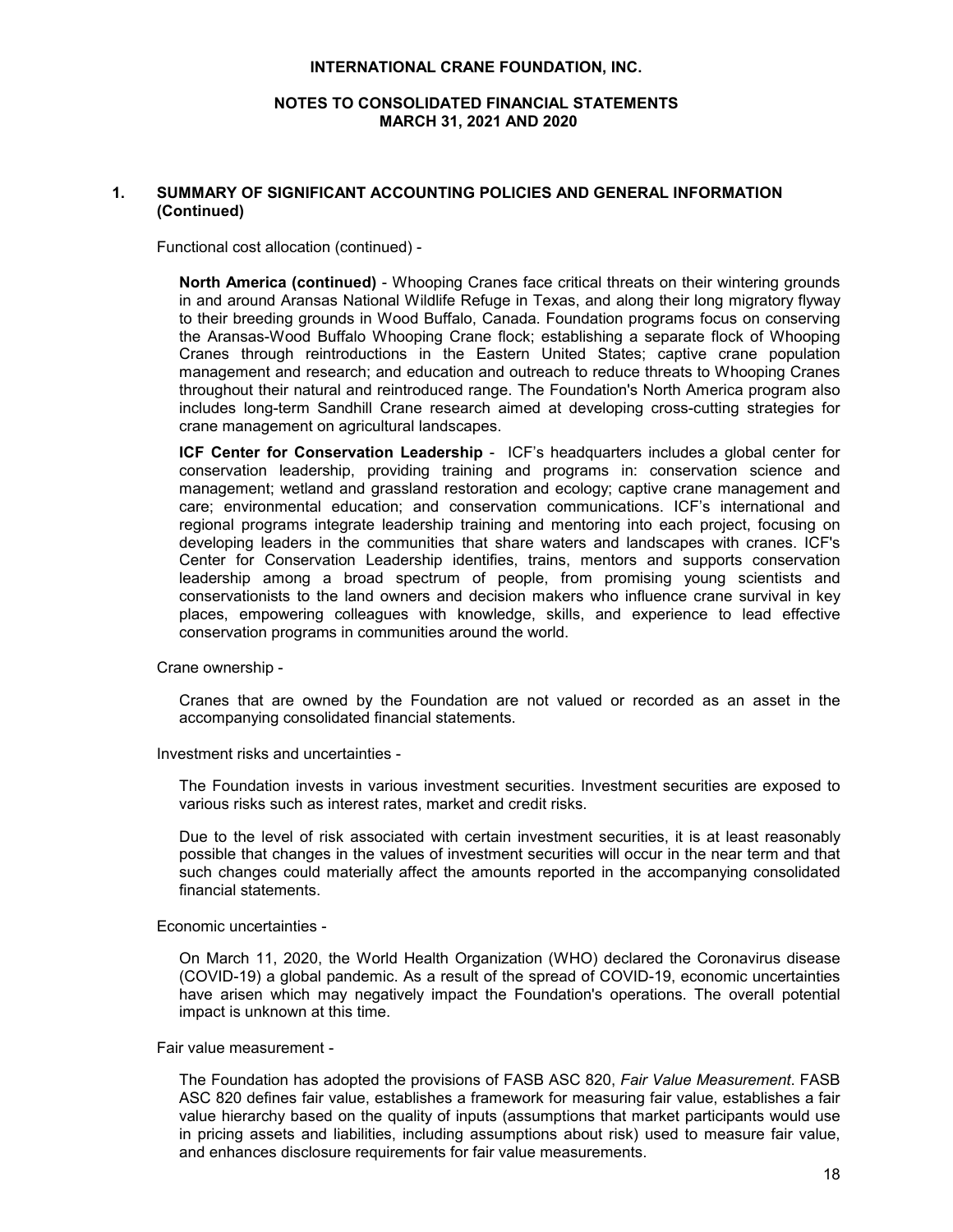# **NOTES TO CONSOLIDATED FINANCIAL STATEMENTS MARCH 31, 2021 AND 2020**

# **1. SUMMARY OF SIGNIFICANT ACCOUNTING POLICIES AND GENERAL INFORMATION (Continued)**

Functional cost allocation (continued) -

**North America (continued)** - Whooping Cranes face critical threats on their wintering grounds in and around Aransas National Wildlife Refuge in Texas, and along their long migratory flyway to their breeding grounds in Wood Buffalo, Canada. Foundation programs focus on conserving the Aransas-Wood Buffalo Whooping Crane flock; establishing a separate flock of Whooping Cranes through reintroductions in the Eastern United States; captive crane population management and research; and education and outreach to reduce threats to Whooping Cranes throughout their natural and reintroduced range. The Foundation's North America program also includes long-term Sandhill Crane research aimed at developing cross-cutting strategies for crane management on agricultural landscapes.

**ICF Center for Conservation Leadership** - ICF's headquarters includes a global center for conservation leadership, providing training and programs in: conservation science and management; wetland and grassland restoration and ecology; captive crane management and care; environmental education; and conservation communications. ICF's international and regional programs integrate leadership training and mentoring into each project, focusing on developing leaders in the communities that share waters and landscapes with cranes. ICF's Center for Conservation Leadership identifies, trains, mentors and supports conservation leadership among a broad spectrum of people, from promising young scientists and conservationists to the land owners and decision makers who influence crane survival in key places, empowering colleagues with knowledge, skills, and experience to lead effective conservation programs in communities around the world.

Crane ownership -

Cranes that are owned by the Foundation are not valued or recorded as an asset in the accompanying consolidated financial statements.

Investment risks and uncertainties -

The Foundation invests in various investment securities. Investment securities are exposed to various risks such as interest rates, market and credit risks.

Due to the level of risk associated with certain investment securities, it is at least reasonably possible that changes in the values of investment securities will occur in the near term and that such changes could materially affect the amounts reported in the accompanying consolidated financial statements.

Economic uncertainties -

On March 11, 2020, the World Health Organization (WHO) declared the Coronavirus disease (COVID-19) a global pandemic. As a result of the spread of COVID-19, economic uncertainties have arisen which may negatively impact the Foundation's operations. The overall potential impact is unknown at this time.

Fair value measurement -

The Foundation has adopted the provisions of FASB ASC 820, *Fair Value Measurement*. FASB ASC 820 defines fair value, establishes a framework for measuring fair value, establishes a fair value hierarchy based on the quality of inputs (assumptions that market participants would use in pricing assets and liabilities, including assumptions about risk) used to measure fair value, and enhances disclosure requirements for fair value measurements.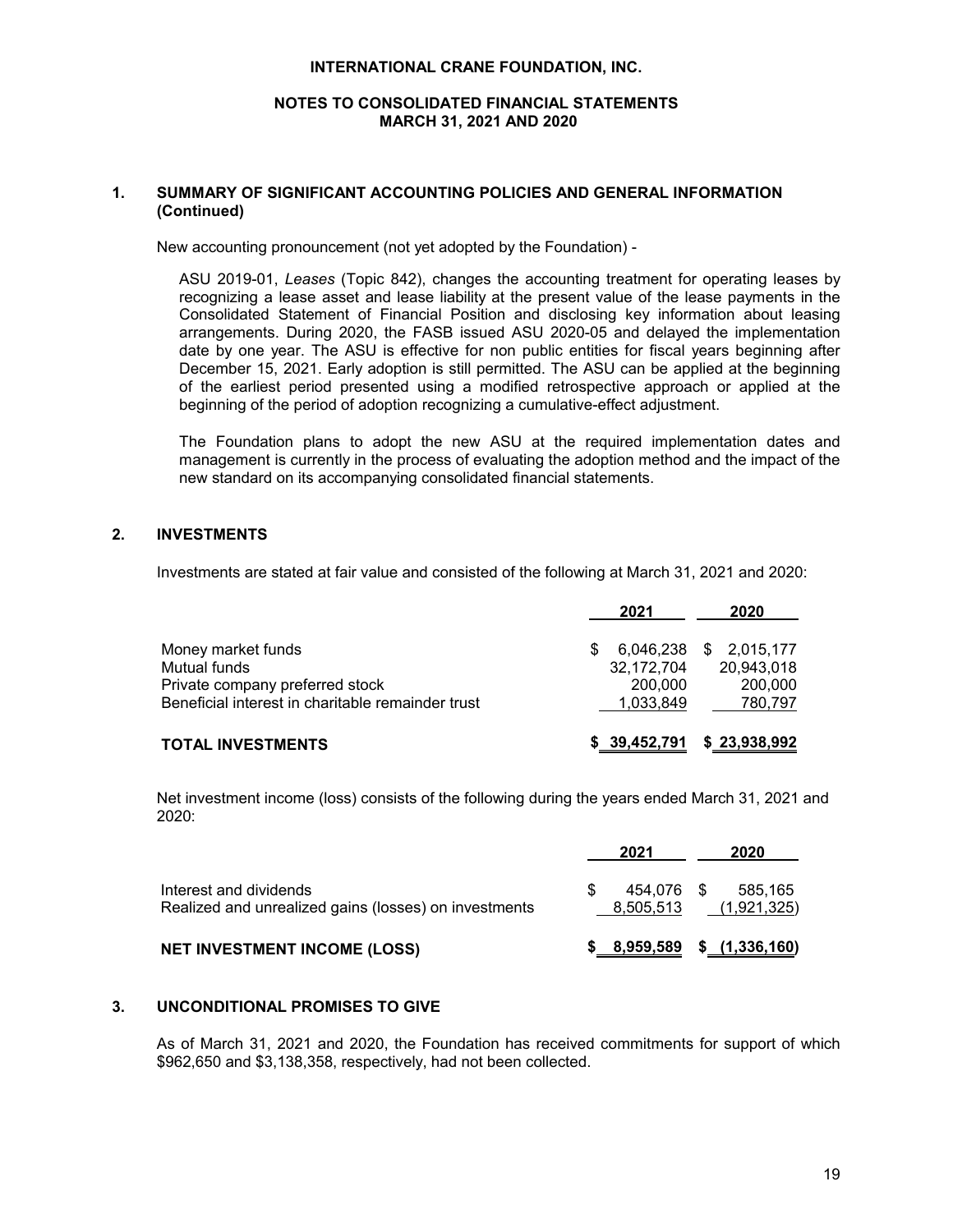# **NOTES TO CONSOLIDATED FINANCIAL STATEMENTS MARCH 31, 2021 AND 2020**

# **1. SUMMARY OF SIGNIFICANT ACCOUNTING POLICIES AND GENERAL INFORMATION (Continued)**

New accounting pronouncement (not yet adopted by the Foundation) -

ASU 2019-01, *Leases* (Topic 842), changes the accounting treatment for operating leases by recognizing a lease asset and lease liability at the present value of the lease payments in the Consolidated Statement of Financial Position and disclosing key information about leasing arrangements. During 2020, the FASB issued ASU 2020-05 and delayed the implementation date by one year. The ASU is effective for non public entities for fiscal years beginning after December 15, 2021. Early adoption is still permitted. The ASU can be applied at the beginning of the earliest period presented using a modified retrospective approach or applied at the beginning of the period of adoption recognizing a cumulative-effect adjustment.

The Foundation plans to adopt the new ASU at the required implementation dates and management is currently in the process of evaluating the adoption method and the impact of the new standard on its accompanying consolidated financial statements.

# **2. INVESTMENTS**

Investments are stated at fair value and consisted of the following at March 31, 2021 and 2020:

|                                                   | 2021       | 2020                        |
|---------------------------------------------------|------------|-----------------------------|
| Money market funds                                |            | 6,046,238 \$ 2,015,177      |
| Mutual funds                                      | 32,172,704 | 20,943,018                  |
| Private company preferred stock                   | 200,000    | 200,000                     |
| Beneficial interest in charitable remainder trust | 1,033,849  | 780,797                     |
| <b>TOTAL INVESTMENTS</b>                          |            | $$39,452,791$ $$23,938,992$ |

Net investment income (loss) consists of the following during the years ended March 31, 2021 and 2020:

|                                                                                 | 2021                    | 2020                          |
|---------------------------------------------------------------------------------|-------------------------|-------------------------------|
| Interest and dividends<br>Realized and unrealized gains (losses) on investments | 454.076 \$<br>8,505,513 | 585.165<br>(1.921.325)        |
| <b>NET INVESTMENT INCOME (LOSS)</b>                                             |                         | $$8,959,589$ \$ $(1,336,160)$ |

# **3. UNCONDITIONAL PROMISES TO GIVE**

As of March 31, 2021 and 2020, the Foundation has received commitments for support of which \$962,650 and \$3,138,358, respectively, had not been collected.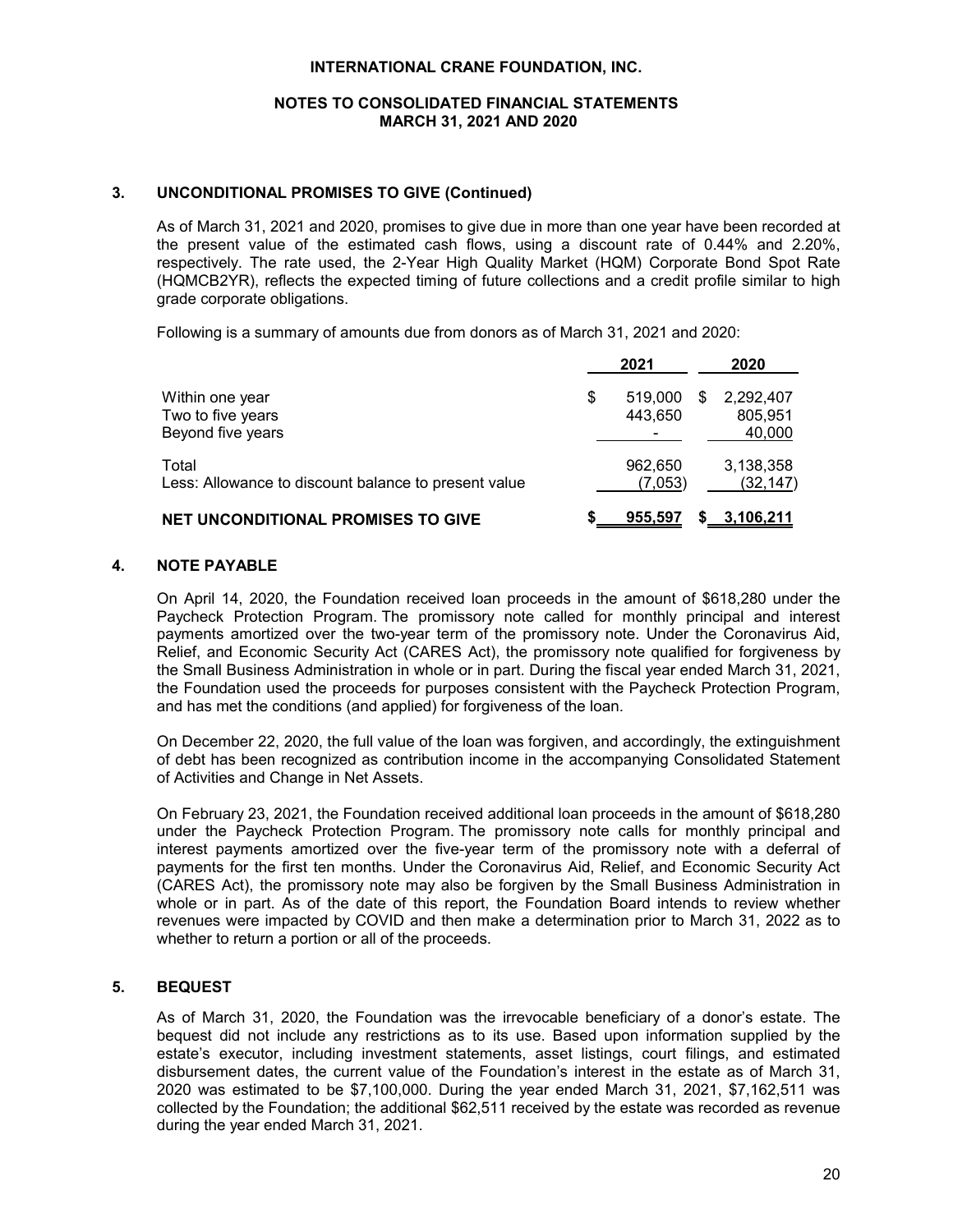# **NOTES TO CONSOLIDATED FINANCIAL STATEMENTS MARCH 31, 2021 AND 2020**

# **3. UNCONDITIONAL PROMISES TO GIVE (Continued)**

As of March 31, 2021 and 2020, promises to give due in more than one year have been recorded at the present value of the estimated cash flows, using a discount rate of 0.44% and 2.20%, respectively. The rate used, the 2-Year High Quality Market (HQM) Corporate Bond Spot Rate (HQMCB2YR), reflects the expected timing of future collections and a credit profile similar to high grade corporate obligations.

Following is a summary of amounts due from donors as of March 31, 2021 and 2020:

|                                                               | 2021                     |   | 2020                   |
|---------------------------------------------------------------|--------------------------|---|------------------------|
| Within one year<br>Two to five years                          | \$<br>519,000<br>443.650 | S | 2,292,407<br>805,951   |
| Beyond five years                                             |                          |   | 40,000                 |
| Total<br>Less: Allowance to discount balance to present value | 962,650<br>(7,053)       |   | 3,138,358<br>(32, 147) |
| <b>NET UNCONDITIONAL PROMISES TO GIVE</b>                     | 955,597                  |   | <u>3,106,211</u>       |

# **4. NOTE PAYABLE**

On April 14, 2020, the Foundation received loan proceeds in the amount of \$618,280 under the Paycheck Protection Program. The promissory note called for monthly principal and interest payments amortized over the two-year term of the promissory note. Under the Coronavirus Aid, Relief, and Economic Security Act (CARES Act), the promissory note qualified for forgiveness by the Small Business Administration in whole or in part. During the fiscal year ended March 31, 2021, the Foundation used the proceeds for purposes consistent with the Paycheck Protection Program, and has met the conditions (and applied) for forgiveness of the loan.

On December 22, 2020, the full value of the loan was forgiven, and accordingly, the extinguishment of debt has been recognized as contribution income in the accompanying Consolidated Statement of Activities and Change in Net Assets.

On February 23, 2021, the Foundation received additional loan proceeds in the amount of \$618,280 under the Paycheck Protection Program. The promissory note calls for monthly principal and interest payments amortized over the five-year term of the promissory note with a deferral of payments for the first ten months. Under the Coronavirus Aid, Relief, and Economic Security Act (CARES Act), the promissory note may also be forgiven by the Small Business Administration in whole or in part. As of the date of this report, the Foundation Board intends to review whether revenues were impacted by COVID and then make a determination prior to March 31, 2022 as to whether to return a portion or all of the proceeds.

# **5. BEQUEST**

As of March 31, 2020, the Foundation was the irrevocable beneficiary of a donor's estate. The bequest did not include any restrictions as to its use. Based upon information supplied by the estate's executor, including investment statements, asset listings, court filings, and estimated disbursement dates, the current value of the Foundation's interest in the estate as of March 31, 2020 was estimated to be \$7,100,000. During the year ended March 31, 2021, \$7,162,511 was collected by the Foundation; the additional \$62,511 received by the estate was recorded as revenue during the year ended March 31, 2021.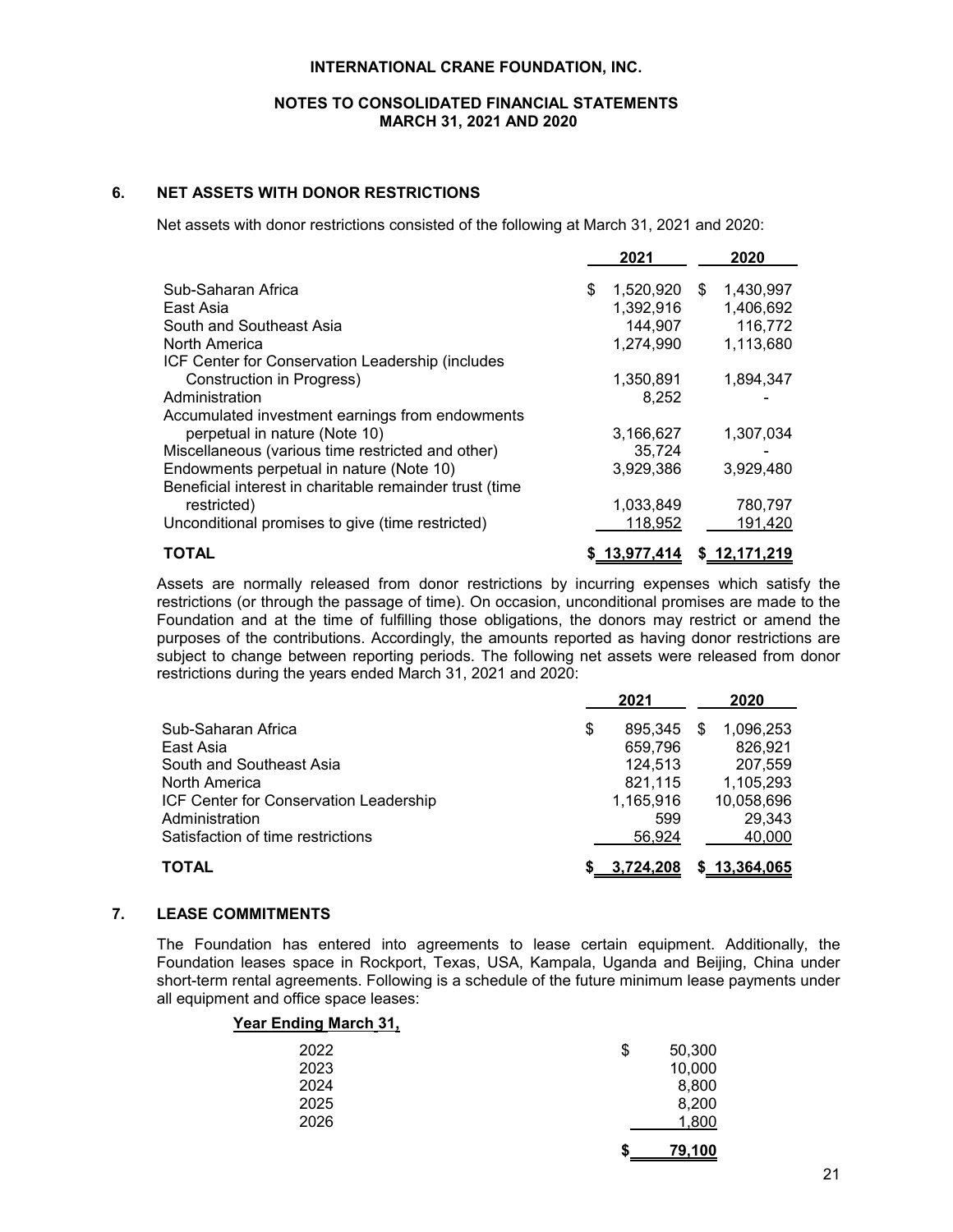# **NOTES TO CONSOLIDATED FINANCIAL STATEMENTS MARCH 31, 2021 AND 2020**

# **6. NET ASSETS WITH DONOR RESTRICTIONS**

Net assets with donor restrictions consisted of the following at March 31, 2021 and 2020:

|                                                         | 2021            |     | 2020         |
|---------------------------------------------------------|-----------------|-----|--------------|
| Sub-Saharan Africa                                      | \$<br>1,520,920 | \$. | 1,430,997    |
| East Asia                                               | 1,392,916       |     | 1,406,692    |
| South and Southeast Asia                                | 144,907         |     | 116,772      |
| North America                                           | 1,274,990       |     | 1,113,680    |
| ICF Center for Conservation Leadership (includes        |                 |     |              |
| Construction in Progress)                               | 1,350,891       |     | 1,894,347    |
| Administration                                          | 8,252           |     |              |
| Accumulated investment earnings from endowments         |                 |     |              |
| perpetual in nature (Note 10)                           | 3,166,627       |     | 1.307.034    |
| Miscellaneous (various time restricted and other)       | 35.724          |     |              |
| Endowments perpetual in nature (Note 10)                | 3.929.386       |     | 3.929.480    |
| Beneficial interest in charitable remainder trust (time |                 |     |              |
| restricted)                                             | 1,033,849       |     | 780,797      |
| Unconditional promises to give (time restricted)        | 118,952         |     | 191,420      |
| <b>TOTAL</b>                                            | \$13,977,414    |     | \$12,171,219 |

Assets are normally released from donor restrictions by incurring expenses which satisfy the restrictions (or through the passage of time). On occasion, unconditional promises are made to the Foundation and at the time of fulfilling those obligations, the donors may restrict or amend the purposes of the contributions. Accordingly, the amounts reported as having donor restrictions are subject to change between reporting periods. The following net assets were released from donor restrictions during the years ended March 31, 2021 and 2020:

|                                        |   | 2021        |   | 2020         |  |
|----------------------------------------|---|-------------|---|--------------|--|
| Sub-Saharan Africa                     | S | 895,345     | S | 1,096,253    |  |
| East Asia                              |   | 659,796     |   | 826,921      |  |
| South and Southeast Asia               |   | 124.513     |   | 207.559      |  |
| North America                          |   | 821,115     |   | 1,105,293    |  |
| ICF Center for Conservation Leadership |   | 1,165,916   |   | 10,058,696   |  |
| Administration                         |   | 599         |   | 29,343       |  |
| Satisfaction of time restrictions      |   | 56.924      |   | 40,000       |  |
| TOTAL                                  |   | \$3,724,208 |   | \$13,364,065 |  |

# **7. LEASE COMMITMENTS**

The Foundation has entered into agreements to lease certain equipment. Additionally, the Foundation leases space in Rockport, Texas, USA, Kampala, Uganda and Beijing, China under short-term rental agreements. Following is a schedule of the future minimum lease payments under all equipment and office space leases:

| \$<br>50,300 |
|--------------|
| 10,000       |
| 8,800        |
| 8,200        |
| 1,800        |
| 79,100       |
|              |

# **Year Ending March 31,**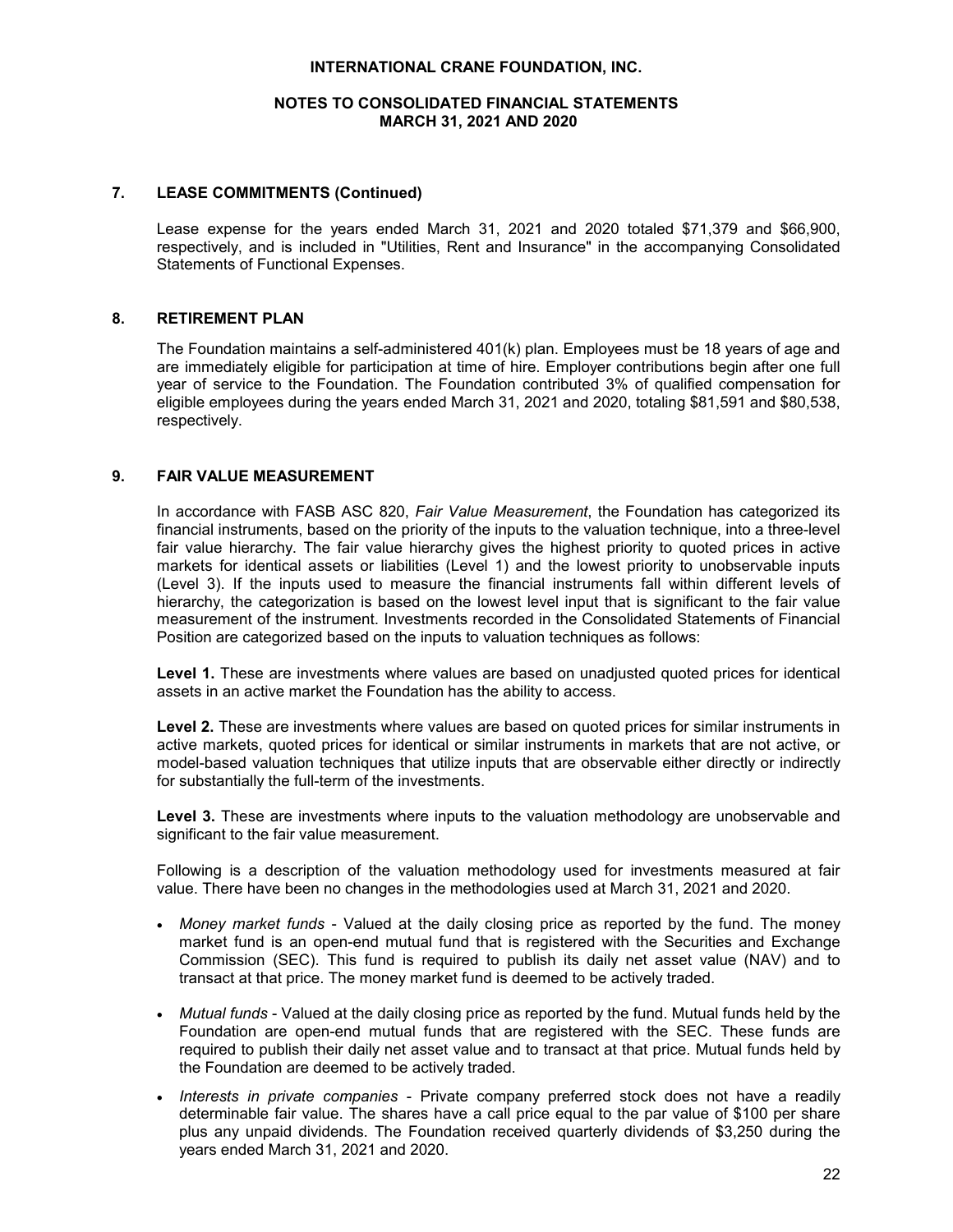# **NOTES TO CONSOLIDATED FINANCIAL STATEMENTS MARCH 31, 2021 AND 2020**

#### **7. LEASE COMMITMENTS (Continued)**

Lease expense for the years ended March 31, 2021 and 2020 totaled \$71,379 and \$66,900, respectively, and is included in "Utilities, Rent and Insurance" in the accompanying Consolidated Statements of Functional Expenses.

# **8. RETIREMENT PLAN**

The Foundation maintains a self-administered 401(k) plan. Employees must be 18 years of age and are immediately eligible for participation at time of hire. Employer contributions begin after one full year of service to the Foundation. The Foundation contributed 3% of qualified compensation for eligible employees during the years ended March 31, 2021 and 2020, totaling \$81,591 and \$80,538, respectively.

#### **9. FAIR VALUE MEASUREMENT**

In accordance with FASB ASC 820, *Fair Value Measurement*, the Foundation has categorized its financial instruments, based on the priority of the inputs to the valuation technique, into a three-level fair value hierarchy. The fair value hierarchy gives the highest priority to quoted prices in active markets for identical assets or liabilities (Level 1) and the lowest priority to unobservable inputs (Level 3). If the inputs used to measure the financial instruments fall within different levels of hierarchy, the categorization is based on the lowest level input that is significant to the fair value measurement of the instrument. Investments recorded in the Consolidated Statements of Financial Position are categorized based on the inputs to valuation techniques as follows:

**Level 1.** These are investments where values are based on unadjusted quoted prices for identical assets in an active market the Foundation has the ability to access.

**Level 2.** These are investments where values are based on quoted prices for similar instruments in active markets, quoted prices for identical or similar instruments in markets that are not active, or model-based valuation techniques that utilize inputs that are observable either directly or indirectly for substantially the full-term of the investments.

Level 3. These are investments where inputs to the valuation methodology are unobservable and significant to the fair value measurement.

Following is a description of the valuation methodology used for investments measured at fair value. There have been no changes in the methodologies used at March 31, 2021 and 2020.

- *Money market funds* Valued at the daily closing price as reported by the fund. The money market fund is an open-end mutual fund that is registered with the Securities and Exchange Commission (SEC). This fund is required to publish its daily net asset value (NAV) and to transact at that price. The money market fund is deemed to be actively traded.
- *Mutual funds* Valued at the daily closing price as reported by the fund. Mutual funds held by the Foundation are open-end mutual funds that are registered with the SEC. These funds are required to publish their daily net asset value and to transact at that price. Mutual funds held by the Foundation are deemed to be actively traded.
- *Interests in private companies* Private company preferred stock does not have a readily determinable fair value. The shares have a call price equal to the par value of \$100 per share plus any unpaid dividends. The Foundation received quarterly dividends of \$3,250 during the years ended March 31, 2021 and 2020.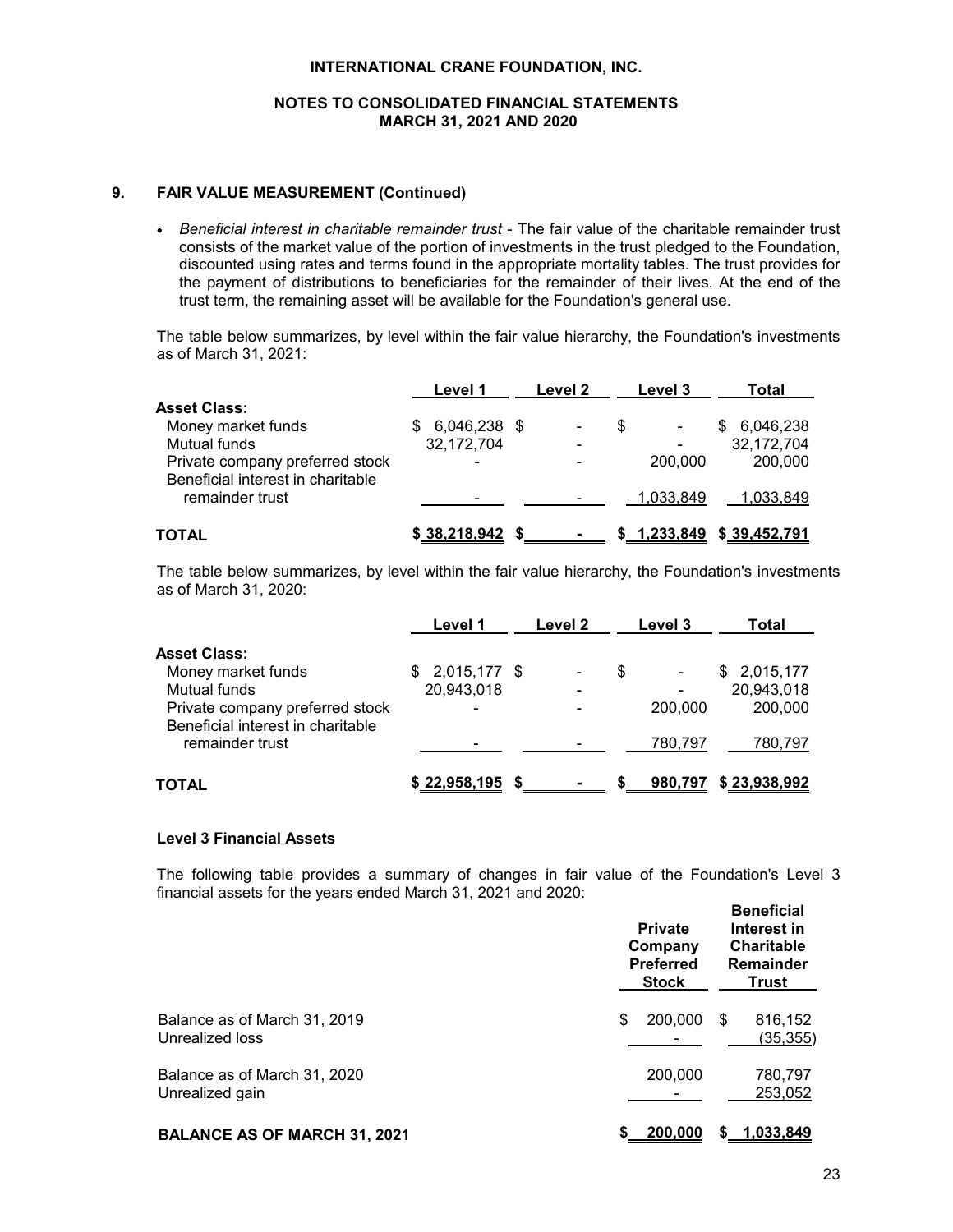# **NOTES TO CONSOLIDATED FINANCIAL STATEMENTS MARCH 31, 2021 AND 2020**

# **9. FAIR VALUE MEASUREMENT (Continued)**

 *Beneficial interest in charitable remainder trust* - The fair value of the charitable remainder trust consists of the market value of the portion of investments in the trust pledged to the Foundation, discounted using rates and terms found in the appropriate mortality tables. The trust provides for the payment of distributions to beneficiaries for the remainder of their lives. At the end of the trust term, the remaining asset will be available for the Foundation's general use.

The table below summarizes, by level within the fair value hierarchy, the Foundation's investments as of March 31, 2021:

|                                                                      | Level 1                  | Level 2 |     | Level 3                  | Total                        |
|----------------------------------------------------------------------|--------------------------|---------|-----|--------------------------|------------------------------|
| Asset Class:                                                         |                          |         |     |                          |                              |
| Money market funds                                                   | 6,046,238 \$             |         | \$. | $\overline{\phantom{0}}$ | 6,046,238<br>S               |
| Mutual funds                                                         | 32,172,704               |         |     | ٠                        | 32,172,704                   |
| Private company preferred stock<br>Beneficial interest in charitable | $\overline{\phantom{0}}$ |         |     | 200,000                  | 200,000                      |
| remainder trust                                                      | $\blacksquare$           |         |     | 1,033,849                | 1,033,849                    |
| TOTAL                                                                | \$38,218,942             |         |     |                          | $$ 1,233,849$ $$ 39,452,791$ |

The table below summarizes, by level within the fair value hierarchy, the Foundation's investments as of March 31, 2020:

|                                                                      | Level 1            | Level 2 |   | Level 3 | Total            |
|----------------------------------------------------------------------|--------------------|---------|---|---------|------------------|
| <b>Asset Class:</b>                                                  |                    |         |   |         |                  |
| Money market funds                                                   | 2,015,177 \$<br>S. |         | S |         | 2,015,177<br>SS. |
| Mutual funds                                                         | 20,943,018         |         |   |         | 20,943,018       |
| Private company preferred stock<br>Beneficial interest in charitable | ۰                  |         |   | 200,000 | 200,000          |
| remainder trust                                                      |                    |         |   | 780,797 | 780,797          |
| TOTAL                                                                | \$22,958,195       |         |   | 980,797 | \$23,938,992     |

# **Level 3 Financial Assets**

The following table provides a summary of changes in fair value of the Foundation's Level 3 financial assets for the years ended March 31, 2021 and 2020: **Beneficial**

|                                                 | <b>Private</b><br>Company<br><b>Preferred</b><br><b>Stock</b> | <b>Beneficial</b><br>Interest in<br><b>Charitable</b><br><b>Remainder</b><br>Trust |  |  |
|-------------------------------------------------|---------------------------------------------------------------|------------------------------------------------------------------------------------|--|--|
| Balance as of March 31, 2019<br>Unrealized loss | 200,000<br>\$                                                 | 816,152<br>- \$<br>(35,355)                                                        |  |  |
| Balance as of March 31, 2020<br>Unrealized gain | 200,000                                                       | 780,797<br>253,052                                                                 |  |  |
| <b>BALANCE AS OF MARCH 31, 2021</b>             | 200,000                                                       | 1,033,849                                                                          |  |  |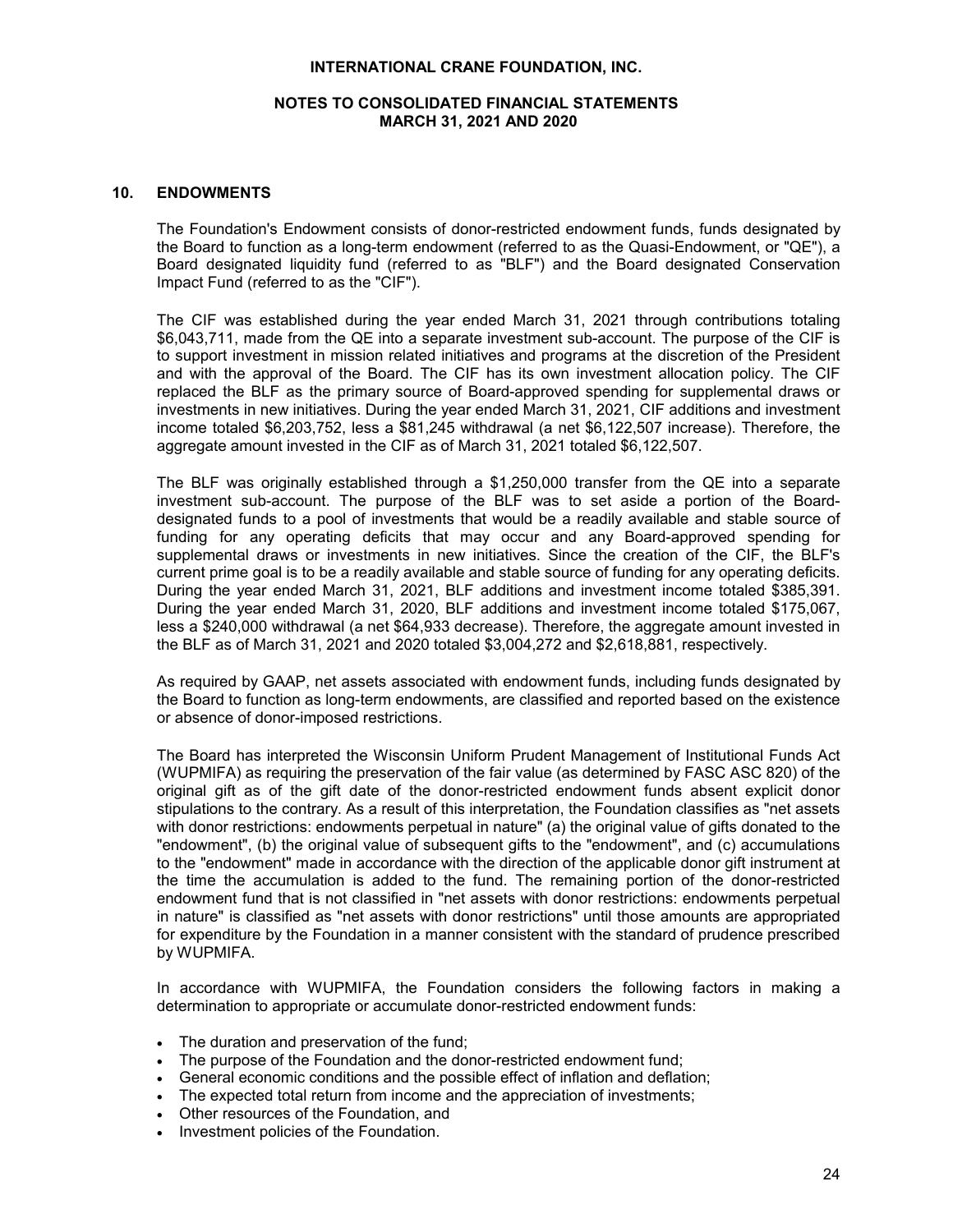# **NOTES TO CONSOLIDATED FINANCIAL STATEMENTS MARCH 31, 2021 AND 2020**

# **10. ENDOWMENTS**

The Foundation's Endowment consists of donor-restricted endowment funds, funds designated by the Board to function as a long-term endowment (referred to as the Quasi-Endowment, or "QE"), a Board designated liquidity fund (referred to as "BLF") and the Board designated Conservation Impact Fund (referred to as the "CIF").

The CIF was established during the year ended March 31, 2021 through contributions totaling \$6,043,711, made from the QE into a separate investment sub-account. The purpose of the CIF is to support investment in mission related initiatives and programs at the discretion of the President and with the approval of the Board. The CIF has its own investment allocation policy. The CIF replaced the BLF as the primary source of Board-approved spending for supplemental draws or investments in new initiatives. During the year ended March 31, 2021, CIF additions and investment income totaled \$6,203,752, less a \$81,245 withdrawal (a net \$6,122,507 increase). Therefore, the aggregate amount invested in the CIF as of March 31, 2021 totaled \$6,122,507.

The BLF was originally established through a \$1,250,000 transfer from the QE into a separate investment sub-account. The purpose of the BLF was to set aside a portion of the Boarddesignated funds to a pool of investments that would be a readily available and stable source of funding for any operating deficits that may occur and any Board-approved spending for supplemental draws or investments in new initiatives. Since the creation of the CIF, the BLF's current prime goal is to be a readily available and stable source of funding for any operating deficits. During the year ended March 31, 2021, BLF additions and investment income totaled \$385,391. During the year ended March 31, 2020, BLF additions and investment income totaled \$175,067, less a \$240,000 withdrawal (a net \$64,933 decrease). Therefore, the aggregate amount invested in the BLF as of March 31, 2021 and 2020 totaled \$3,004,272 and \$2,618,881, respectively.

As required by GAAP, net assets associated with endowment funds, including funds designated by the Board to function as long-term endowments, are classified and reported based on the existence or absence of donor-imposed restrictions.

The Board has interpreted the Wisconsin Uniform Prudent Management of Institutional Funds Act (WUPMIFA) as requiring the preservation of the fair value (as determined by FASC ASC 820) of the original gift as of the gift date of the donor-restricted endowment funds absent explicit donor stipulations to the contrary. As a result of this interpretation, the Foundation classifies as "net assets with donor restrictions: endowments perpetual in nature" (a) the original value of gifts donated to the "endowment", (b) the original value of subsequent gifts to the "endowment", and (c) accumulations to the "endowment" made in accordance with the direction of the applicable donor gift instrument at the time the accumulation is added to the fund. The remaining portion of the donor-restricted endowment fund that is not classified in "net assets with donor restrictions: endowments perpetual in nature" is classified as "net assets with donor restrictions" until those amounts are appropriated for expenditure by the Foundation in a manner consistent with the standard of prudence prescribed by WUPMIFA.

In accordance with WUPMIFA, the Foundation considers the following factors in making a determination to appropriate or accumulate donor-restricted endowment funds:

- The duration and preservation of the fund;
- The purpose of the Foundation and the donor-restricted endowment fund;
- General economic conditions and the possible effect of inflation and deflation;
- The expected total return from income and the appreciation of investments;
- Other resources of the Foundation, and
- Investment policies of the Foundation.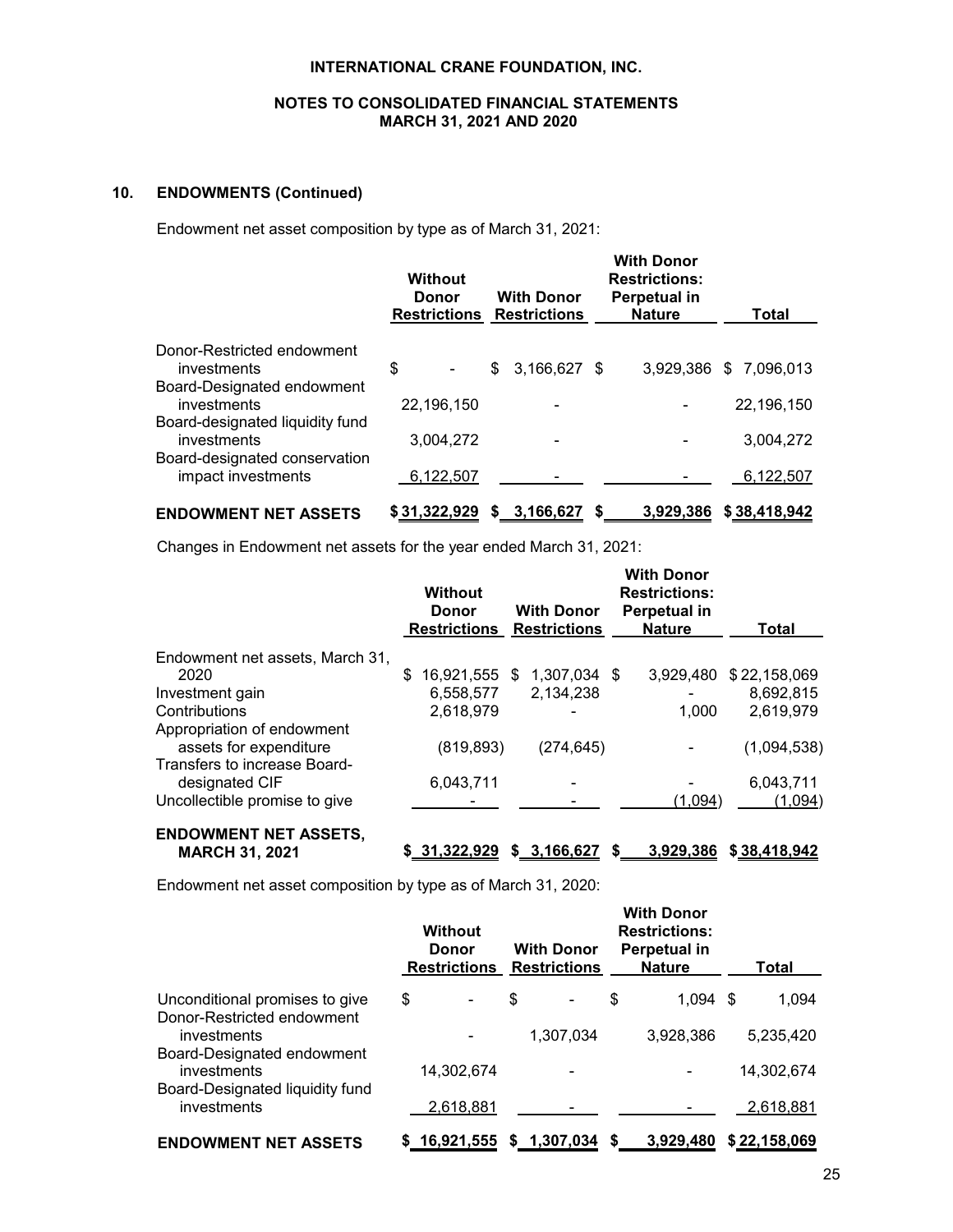# **NOTES TO CONSOLIDATED FINANCIAL STATEMENTS MARCH 31, 2021 AND 2020**

# **10. ENDOWMENTS (Continued)**

Endowment net asset composition by type as of March 31, 2021:

|                                                                                 | <b>Without</b><br>Donor | <b>With Donor</b><br><b>Restrictions Restrictions</b> | <b>With Donor</b><br><b>Restrictions:</b><br>Perpetual in<br><b>Nature</b> | Total                  |
|---------------------------------------------------------------------------------|-------------------------|-------------------------------------------------------|----------------------------------------------------------------------------|------------------------|
| Donor-Restricted endowment<br>investments<br>Board-Designated endowment         | \$                      | 3,166,627 \$<br>\$                                    |                                                                            | 3.929.386 \$ 7.096.013 |
| investments                                                                     | 22,196,150              |                                                       |                                                                            | 22,196,150             |
| Board-designated liquidity fund<br>investments<br>Board-designated conservation | 3,004,272               |                                                       |                                                                            | 3,004,272              |
| impact investments                                                              | 6,122,507               |                                                       |                                                                            | 6,122,507              |
| <b>ENDOWMENT NET ASSETS</b>                                                     | \$31,322,929            | \$3,166,627                                           | 3,929,386<br>S                                                             | \$38,418,942           |

Changes in Endowment net assets for the year ended March 31, 2021:

|                                 | <b>Without</b><br>Donor<br><b>Restrictions</b> | <b>With Donor</b><br><b>Restrictions</b> | <b>With Donor</b><br><b>Restrictions:</b><br><b>Perpetual in</b><br><b>Nature</b> | Total        |
|---------------------------------|------------------------------------------------|------------------------------------------|-----------------------------------------------------------------------------------|--------------|
| Endowment net assets, March 31, |                                                |                                          |                                                                                   |              |
| 2020                            | \$<br>16,921,555 \$ 1,307,034 \$               |                                          | 3.929.480                                                                         | \$22,158,069 |
| Investment gain                 | 6,558,577                                      | 2,134,238                                |                                                                                   | 8,692,815    |
| Contributions                   | 2.618.979                                      |                                          | 1.000                                                                             | 2.619.979    |
| Appropriation of endowment      |                                                |                                          |                                                                                   |              |
| assets for expenditure          | (819, 893)                                     | (274, 645)                               |                                                                                   | (1,094,538)  |
| Transfers to increase Board-    |                                                |                                          |                                                                                   |              |
| designated CIF                  | 6,043,711                                      |                                          |                                                                                   | 6,043,711    |
| Uncollectible promise to give   |                                                |                                          | (1,094)                                                                           | (1,094)      |
| <b>ENDOWMENT NET ASSETS,</b>    |                                                |                                          |                                                                                   |              |

# **MARCH 31, 2021 \$ 31,322,929 \$ 3,166,627 \$ 3,929,386 \$ 38,418,942**

Endowment net asset composition by type as of March 31, 2020:

|                                                              | <b>Without</b><br><b>Donor</b> | <b>With Donor</b><br><b>Restrictions Restrictions</b> |    | <b>With Donor</b><br><b>Restrictions:</b><br>Perpetual in<br><b>Nature</b> | Total        |
|--------------------------------------------------------------|--------------------------------|-------------------------------------------------------|----|----------------------------------------------------------------------------|--------------|
| Unconditional promises to give<br>Donor-Restricted endowment | \$<br>٠                        | \$<br>٠                                               | \$ | $1,094$ \$                                                                 | 1,094        |
| investments                                                  |                                | 1,307,034                                             |    | 3,928,386                                                                  | 5,235,420    |
| Board-Designated endowment<br>investments                    | 14,302,674                     |                                                       |    |                                                                            | 14,302,674   |
| Board-Designated liquidity fund<br>investments               | 2,618,881                      |                                                       |    |                                                                            | 2,618,881    |
| <b>ENDOWMENT NET ASSETS</b>                                  | \$16,921,555                   | \$1,307,034                                           | S. | 3.929.480                                                                  | \$22,158,069 |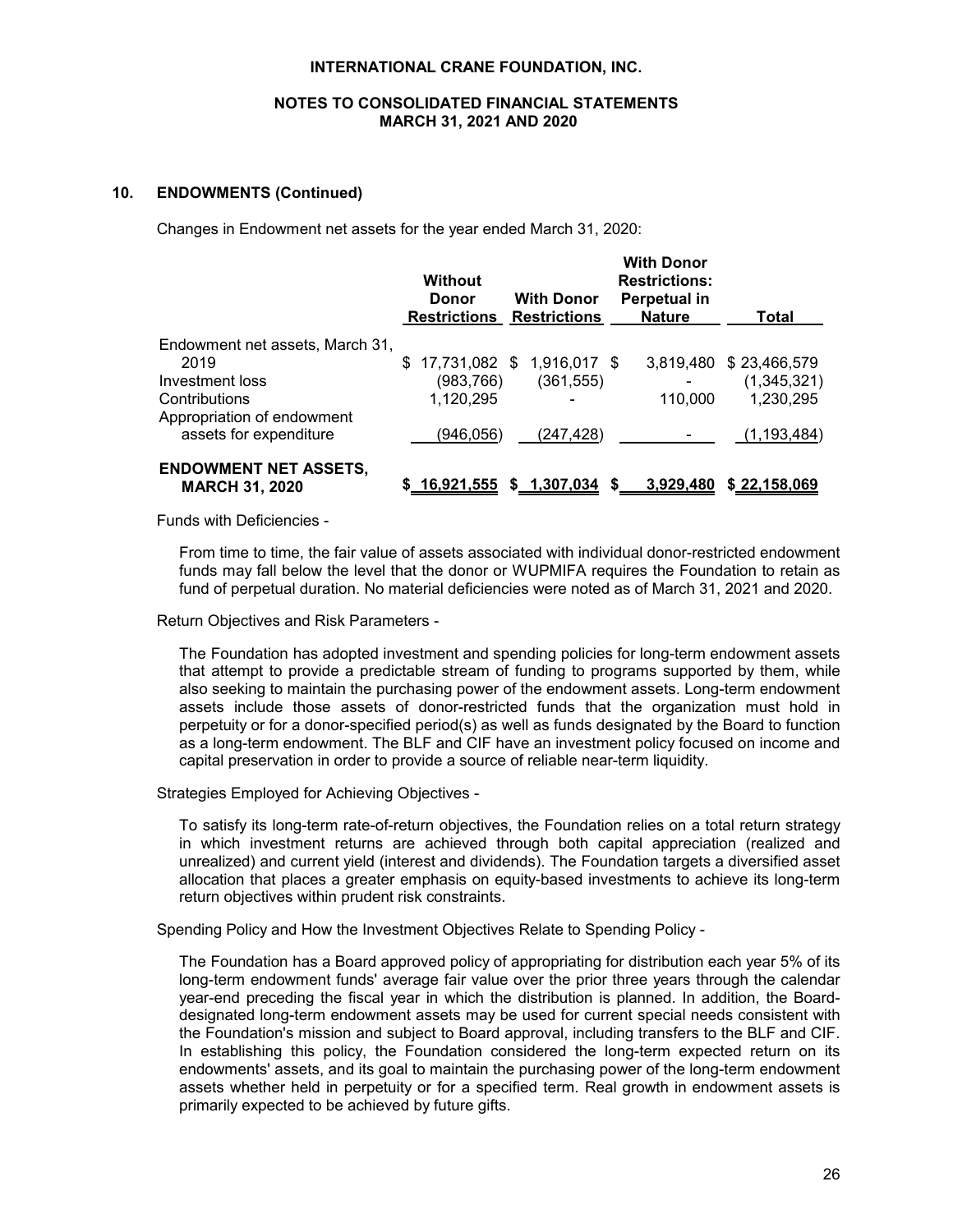# **NOTES TO CONSOLIDATED FINANCIAL STATEMENTS MARCH 31, 2021 AND 2020**

#### **10. ENDOWMENTS (Continued)**

Changes in Endowment net assets for the year ended March 31, 2020:

|                                                       | <b>Without</b><br>Donor<br><b>Restrictions Restrictions</b> | <b>With Donor</b>          | <b>With Donor</b><br><b>Restrictions:</b><br>Perpetual in<br><b>Nature</b> | Total                  |
|-------------------------------------------------------|-------------------------------------------------------------|----------------------------|----------------------------------------------------------------------------|------------------------|
| Endowment net assets, March 31,                       |                                                             |                            |                                                                            |                        |
| 2019                                                  |                                                             | 17,731,082 \$ 1,916,017 \$ |                                                                            | 3,819,480 \$23,466,579 |
| Investment loss                                       | (983, 766)                                                  | (361, 555)                 |                                                                            | (1,345,321)            |
| Contributions                                         | 1,120,295                                                   |                            | 110.000                                                                    | 1,230,295              |
| Appropriation of endowment                            |                                                             |                            |                                                                            |                        |
| assets for expenditure                                | (946,056)                                                   | (247, 428)                 |                                                                            | (1, 193, 484)          |
| <b>ENDOWMENT NET ASSETS,</b><br><b>MARCH 31, 2020</b> | <u>16,921,555</u>                                           | \$ 1,307,034               | 3,929,480<br>S.                                                            | \$22,158,069           |

Funds with Deficiencies -

From time to time, the fair value of assets associated with individual donor-restricted endowment funds may fall below the level that the donor or WUPMIFA requires the Foundation to retain as fund of perpetual duration. No material deficiencies were noted as of March 31, 2021 and 2020.

Return Objectives and Risk Parameters -

The Foundation has adopted investment and spending policies for long-term endowment assets that attempt to provide a predictable stream of funding to programs supported by them, while also seeking to maintain the purchasing power of the endowment assets. Long-term endowment assets include those assets of donor-restricted funds that the organization must hold in perpetuity or for a donor-specified period(s) as well as funds designated by the Board to function as a long-term endowment. The BLF and CIF have an investment policy focused on income and capital preservation in order to provide a source of reliable near-term liquidity.

Strategies Employed for Achieving Objectives -

To satisfy its long-term rate-of-return objectives, the Foundation relies on a total return strategy in which investment returns are achieved through both capital appreciation (realized and unrealized) and current yield (interest and dividends). The Foundation targets a diversified asset allocation that places a greater emphasis on equity-based investments to achieve its long-term return objectives within prudent risk constraints.

Spending Policy and How the Investment Objectives Relate to Spending Policy -

The Foundation has a Board approved policy of appropriating for distribution each year 5% of its long-term endowment funds' average fair value over the prior three years through the calendar year-end preceding the fiscal year in which the distribution is planned. In addition, the Boarddesignated long-term endowment assets may be used for current special needs consistent with the Foundation's mission and subject to Board approval, including transfers to the BLF and CIF. In establishing this policy, the Foundation considered the long-term expected return on its endowments' assets, and its goal to maintain the purchasing power of the long-term endowment assets whether held in perpetuity or for a specified term. Real growth in endowment assets is primarily expected to be achieved by future gifts.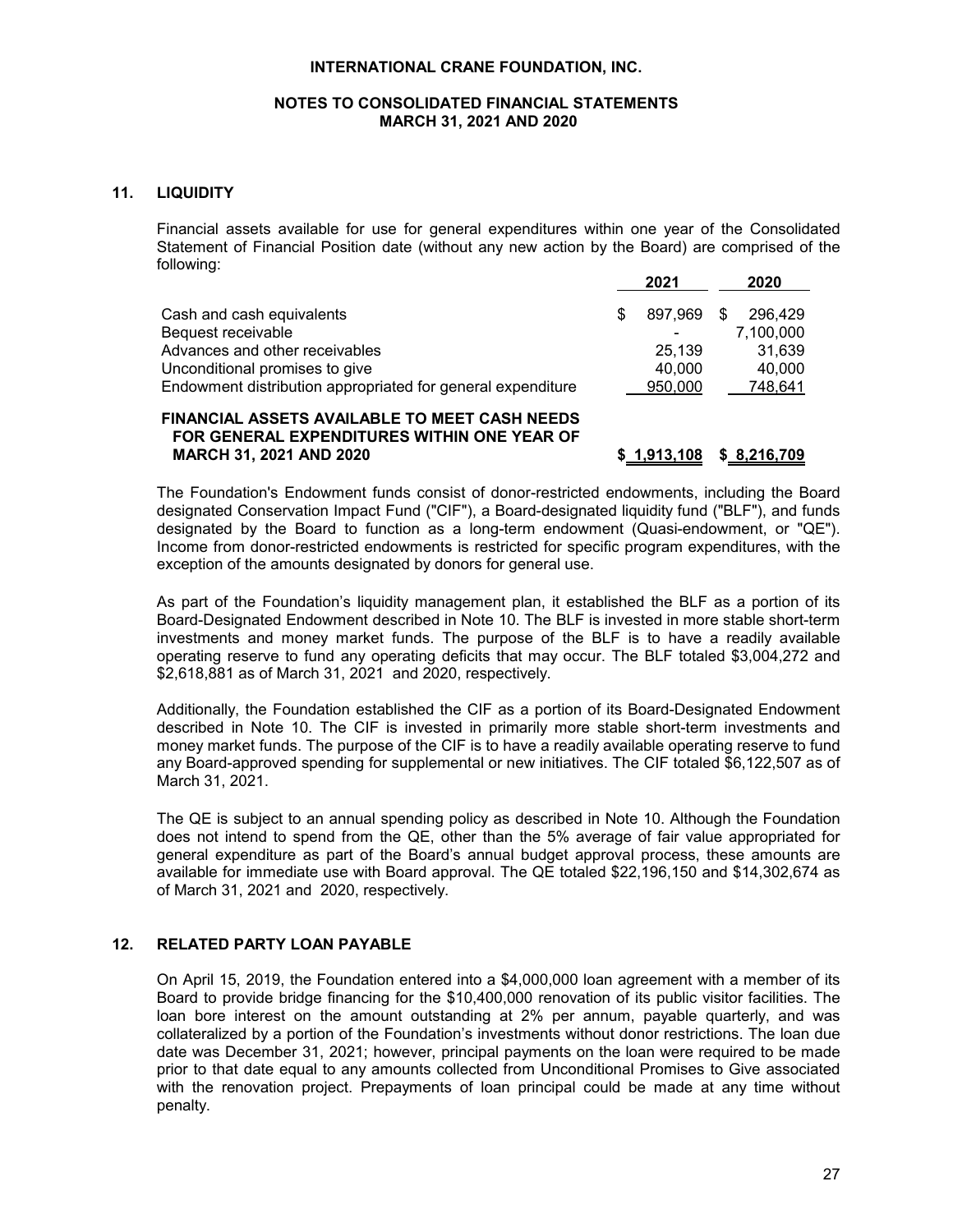# **NOTES TO CONSOLIDATED FINANCIAL STATEMENTS MARCH 31, 2021 AND 2020**

# **11. LIQUIDITY**

Financial assets available for use for general expenditures within one year of the Consolidated Statement of Financial Position date (without any new action by the Board) are comprised of the following:

|                                                             | 2021    |     | 2020      |
|-------------------------------------------------------------|---------|-----|-----------|
| Cash and cash equivalents                                   | 897.969 | \$. | 296.429   |
| Bequest receivable                                          |         |     | 7.100.000 |
| Advances and other receivables                              | 25.139  |     | 31.639    |
| Unconditional promises to give                              | 40.000  |     | 40.000    |
| Endowment distribution appropriated for general expenditure | 950,000 |     | 748,641   |

#### **FINANCIAL ASSETS AVAILABLE TO MEET CASH NEEDS FOR GENERAL EXPENDITURES WITHIN ONE YEAR OF MARCH 31, 2021 AND 2020 \$ 1,913,108 \$ 8,216,709**

The Foundation's Endowment funds consist of donor-restricted endowments, including the Board designated Conservation Impact Fund ("CIF"), a Board-designated liquidity fund ("BLF"), and funds designated by the Board to function as a long-term endowment (Quasi-endowment, or "QE"). Income from donor-restricted endowments is restricted for specific program expenditures, with the exception of the amounts designated by donors for general use.

As part of the Foundation's liquidity management plan, it established the BLF as a portion of its Board-Designated Endowment described in Note 10. The BLF is invested in more stable short-term investments and money market funds. The purpose of the BLF is to have a readily available operating reserve to fund any operating deficits that may occur. The BLF totaled \$3,004,272 and \$2,618,881 as of March 31, 2021 and 2020, respectively.

Additionally, the Foundation established the CIF as a portion of its Board-Designated Endowment described in Note 10. The CIF is invested in primarily more stable short-term investments and money market funds. The purpose of the CIF is to have a readily available operating reserve to fund any Board-approved spending for supplemental or new initiatives. The CIF totaled \$6,122,507 as of March 31, 2021.

The QE is subject to an annual spending policy as described in Note 10. Although the Foundation does not intend to spend from the QE, other than the 5% average of fair value appropriated for general expenditure as part of the Board's annual budget approval process, these amounts are available for immediate use with Board approval. The QE totaled \$22,196,150 and \$14,302,674 as of March 31, 2021 and 2020, respectively.

# **12. RELATED PARTY LOAN PAYABLE**

On April 15, 2019, the Foundation entered into a \$4,000,000 loan agreement with a member of its Board to provide bridge financing for the \$10,400,000 renovation of its public visitor facilities. The loan bore interest on the amount outstanding at 2% per annum, payable quarterly, and was collateralized by a portion of the Foundation's investments without donor restrictions. The loan due date was December 31, 2021; however, principal payments on the loan were required to be made prior to that date equal to any amounts collected from Unconditional Promises to Give associated with the renovation project. Prepayments of loan principal could be made at any time without penalty.